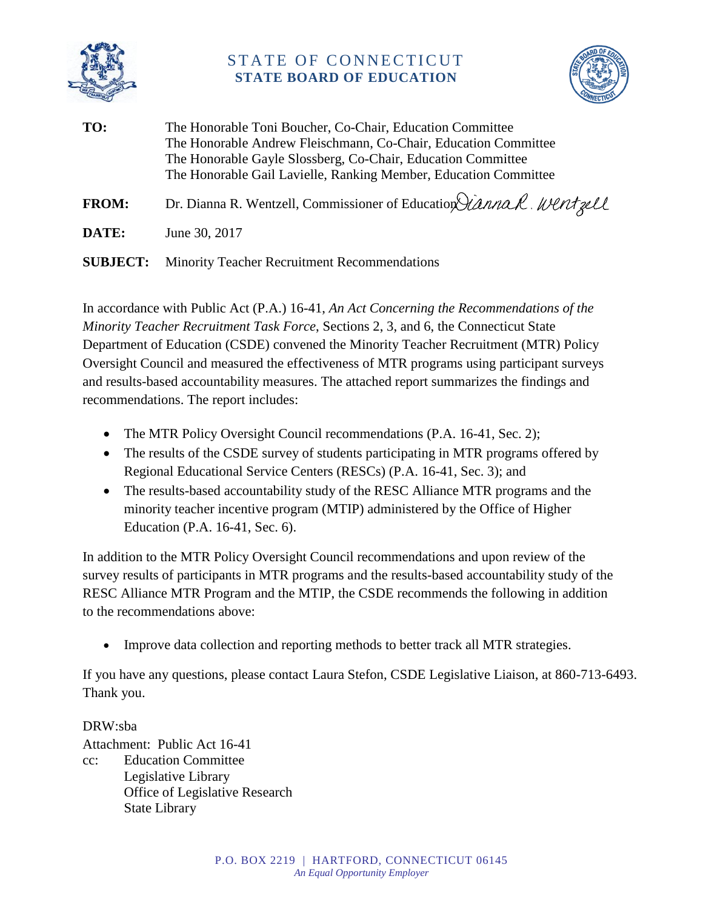

# STATE OF CONNECTICUT **STATE BOARD OF EDUCATION**



**TO:** The Honorable Toni Boucher, Co-Chair, Education Committee The Honorable Andrew Fleischmann, Co-Chair, Education Committee The Honorable Gayle Slossberg, Co-Chair, Education Committee The Honorable Gail Lavielle, Ranking Member, Education Committee **FROM:** Dr. Dianna R. Wentzell, Commissioner of Education *Lanna R. Wentzell* **DATE:** June 30, 2017

**SUBJECT:** Minority Teacher Recruitment Recommendations

In accordance with Public Act (P.A.) 16-41, *An Act Concerning the Recommendations of the Minority Teacher Recruitment Task Force*, Sections 2, 3, and 6, the Connecticut State Department of Education (CSDE) convened the Minority Teacher Recruitment (MTR) Policy Oversight Council and measured the effectiveness of MTR programs using participant surveys and results-based accountability measures. The attached report summarizes the findings and recommendations. The report includes:

- The MTR Policy Oversight Council recommendations (P.A. 16-41, Sec. 2);
- The results of the CSDE survey of students participating in MTR programs offered by Regional Educational Service Centers (RESCs) (P.A. 16-41, Sec. 3); and
- The results-based accountability study of the RESC Alliance MTR programs and the minority teacher incentive program (MTIP) administered by the Office of Higher Education (P.A. 16-41, Sec. 6).

In addition to the MTR Policy Oversight Council recommendations and upon review of the survey results of participants in MTR programs and the results-based accountability study of the RESC Alliance MTR Program and the MTIP, the CSDE recommends the following in addition to the recommendations above:

Improve data collection and reporting methods to better track all MTR strategies.

If you have any questions, please contact Laura Stefon, CSDE Legislative Liaison, at 860-713-6493. Thank you.

DRW:sba Attachment: Public Act 16-41 cc: Education Committee Legislative Library Office of Legislative Research State Library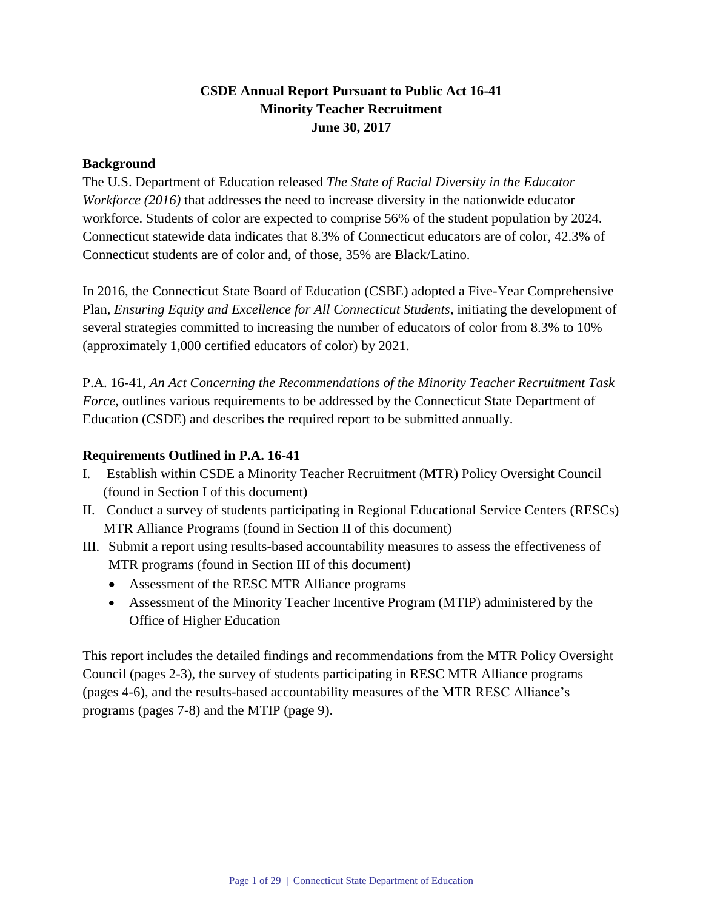# **CSDE Annual Report Pursuant to Public Act 16-41 Minority Teacher Recruitment June 30, 2017**

#### **Background**

The U.S. Department of Education released *The State of Racial Diversity in the Educator Workforce (2016)* that addresses the need to increase diversity in the nationwide educator workforce. Students of color are expected to comprise 56% of the student population by 2024. Connecticut statewide data indicates that 8.3% of Connecticut educators are of color, 42.3% of Connecticut students are of color and, of those, 35% are Black/Latino.

In 2016, the Connecticut State Board of Education (CSBE) adopted a Five-Year Comprehensive Plan, *Ensuring Equity and Excellence for All Connecticut Students*, initiating the development of several strategies committed to increasing the number of educators of color from 8.3% to 10% (approximately 1,000 certified educators of color) by 2021.

P.A. 16-41, *An Act Concerning the Recommendations of the Minority Teacher Recruitment Task Force*, outlines various requirements to be addressed by the Connecticut State Department of Education (CSDE) and describes the required report to be submitted annually.

#### **Requirements Outlined in P.A. 16-41**

- I. Establish within CSDE a Minority Teacher Recruitment (MTR) Policy Oversight Council (found in Section I of this document)
- II. Conduct a survey of students participating in Regional Educational Service Centers (RESCs) MTR Alliance Programs (found in Section II of this document)
- III. Submit a report using results-based accountability measures to assess the effectiveness of MTR programs (found in Section III of this document)
	- Assessment of the RESC MTR Alliance programs
	- Assessment of the Minority Teacher Incentive Program (MTIP) administered by the Office of Higher Education

This report includes the detailed findings and recommendations from the MTR Policy Oversight Council (pages 2-3), the survey of students participating in RESC MTR Alliance programs (pages 4-6), and the results-based accountability measures of the MTR RESC Alliance's programs (pages 7-8) and the MTIP (page 9).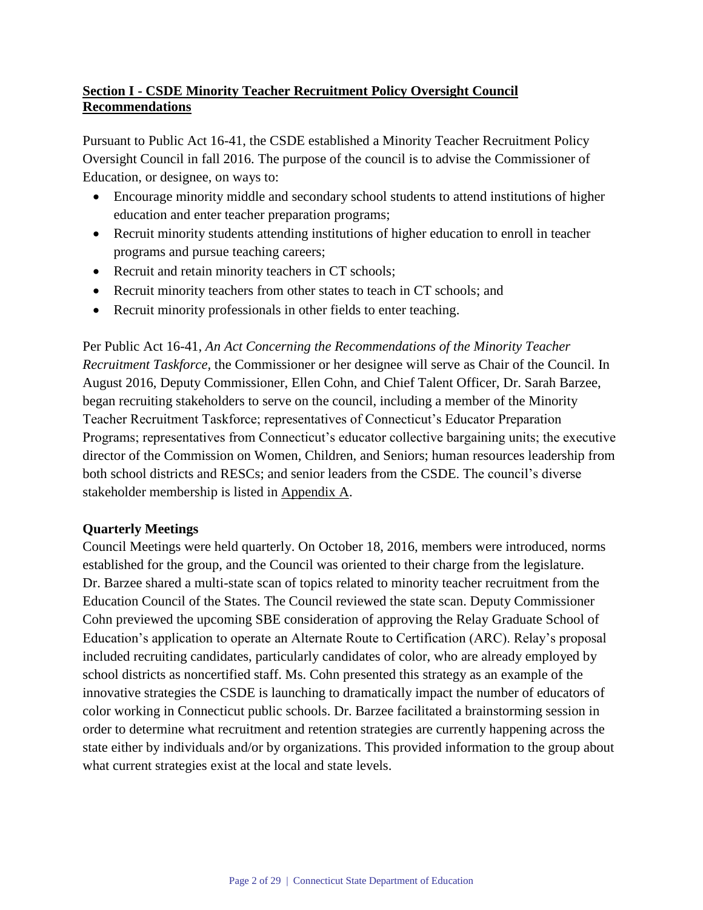# **Section I - CSDE Minority Teacher Recruitment Policy Oversight Council Recommendations**

Pursuant to Public Act 16-41, the CSDE established a Minority Teacher Recruitment Policy Oversight Council in fall 2016. The purpose of the council is to advise the Commissioner of Education, or designee, on ways to:

- Encourage minority middle and secondary school students to attend institutions of higher education and enter teacher preparation programs;
- Recruit minority students attending institutions of higher education to enroll in teacher programs and pursue teaching careers;
- Recruit and retain minority teachers in CT schools;
- Recruit minority teachers from other states to teach in CT schools; and
- Recruit minority professionals in other fields to enter teaching.

Per Public Act 16-41, *An Act Concerning the Recommendations of the Minority Teacher Recruitment Taskforce,* the Commissioner or her designee will serve as Chair of the Council. In August 2016, Deputy Commissioner, Ellen Cohn, and Chief Talent Officer, Dr. Sarah Barzee, began recruiting stakeholders to serve on the council, including a member of the Minority Teacher Recruitment Taskforce; representatives of Connecticut's Educator Preparation Programs; representatives from Connecticut's educator collective bargaining units; the executive director of the Commission on Women, Children, and Seniors; human resources leadership from both school districts and RESCs; and senior leaders from the CSDE. The council's diverse stakeholder membership is listed in Appendix A.

## **Quarterly Meetings**

Council Meetings were held quarterly. On October 18, 2016, members were introduced, norms established for the group, and the Council was oriented to their charge from the legislature. Dr. Barzee shared a multi-state scan of topics related to minority teacher recruitment from the Education Council of the States. The Council reviewed the state scan. Deputy Commissioner Cohn previewed the upcoming SBE consideration of approving the Relay Graduate School of Education's application to operate an Alternate Route to Certification (ARC). Relay's proposal included recruiting candidates, particularly candidates of color, who are already employed by school districts as noncertified staff. Ms. Cohn presented this strategy as an example of the innovative strategies the CSDE is launching to dramatically impact the number of educators of color working in Connecticut public schools. Dr. Barzee facilitated a brainstorming session in order to determine what recruitment and retention strategies are currently happening across the state either by individuals and/or by organizations. This provided information to the group about what current strategies exist at the local and state levels.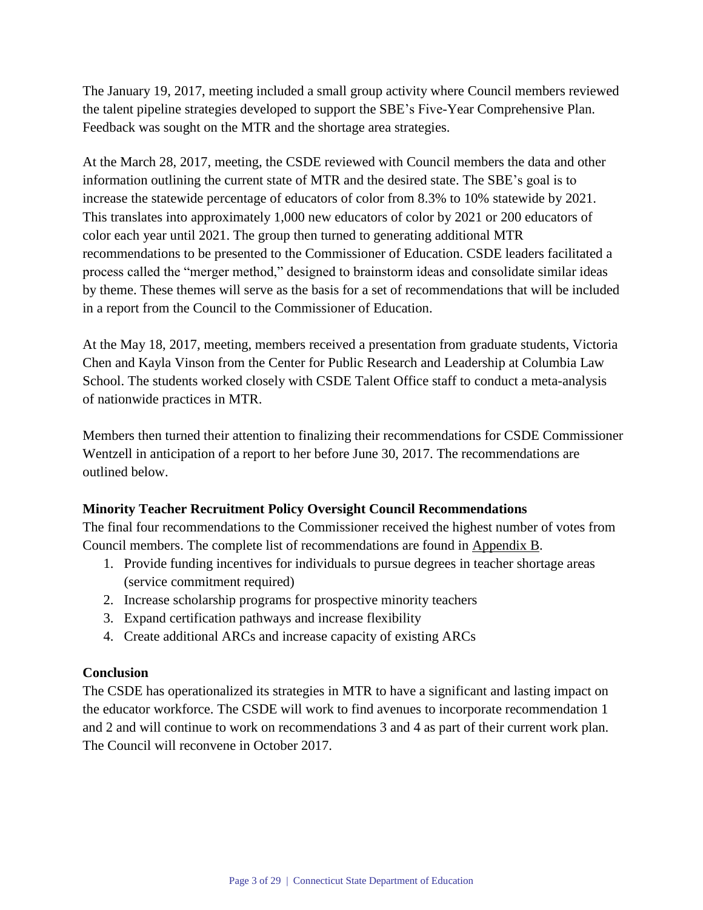The January 19, 2017, meeting included a small group activity where Council members reviewed the talent pipeline strategies developed to support the SBE's Five-Year Comprehensive Plan. Feedback was sought on the MTR and the shortage area strategies.

At the March 28, 2017, meeting, the CSDE reviewed with Council members the data and other information outlining the current state of MTR and the desired state. The SBE's goal is to increase the statewide percentage of educators of color from 8.3% to 10% statewide by 2021. This translates into approximately 1,000 new educators of color by 2021 or 200 educators of color each year until 2021. The group then turned to generating additional MTR recommendations to be presented to the Commissioner of Education. CSDE leaders facilitated a process called the "merger method," designed to brainstorm ideas and consolidate similar ideas by theme. These themes will serve as the basis for a set of recommendations that will be included in a report from the Council to the Commissioner of Education.

At the May 18, 2017, meeting, members received a presentation from graduate students, Victoria Chen and Kayla Vinson from the Center for Public Research and Leadership at Columbia Law School. The students worked closely with CSDE Talent Office staff to conduct a meta-analysis of nationwide practices in MTR.

Members then turned their attention to finalizing their recommendations for CSDE Commissioner Wentzell in anticipation of a report to her before June 30, 2017. The recommendations are outlined below.

## **Minority Teacher Recruitment Policy Oversight Council Recommendations**

The final four recommendations to the Commissioner received the highest number of votes from Council members. The complete list of recommendations are found in Appendix B.

- 1. Provide funding incentives for individuals to pursue degrees in teacher shortage areas (service commitment required)
- 2. Increase scholarship programs for prospective minority teachers
- 3. Expand certification pathways and increase flexibility
- 4. Create additional ARCs and increase capacity of existing ARCs

## **Conclusion**

The CSDE has operationalized its strategies in MTR to have a significant and lasting impact on the educator workforce. The CSDE will work to find avenues to incorporate recommendation 1 and 2 and will continue to work on recommendations 3 and 4 as part of their current work plan. The Council will reconvene in October 2017.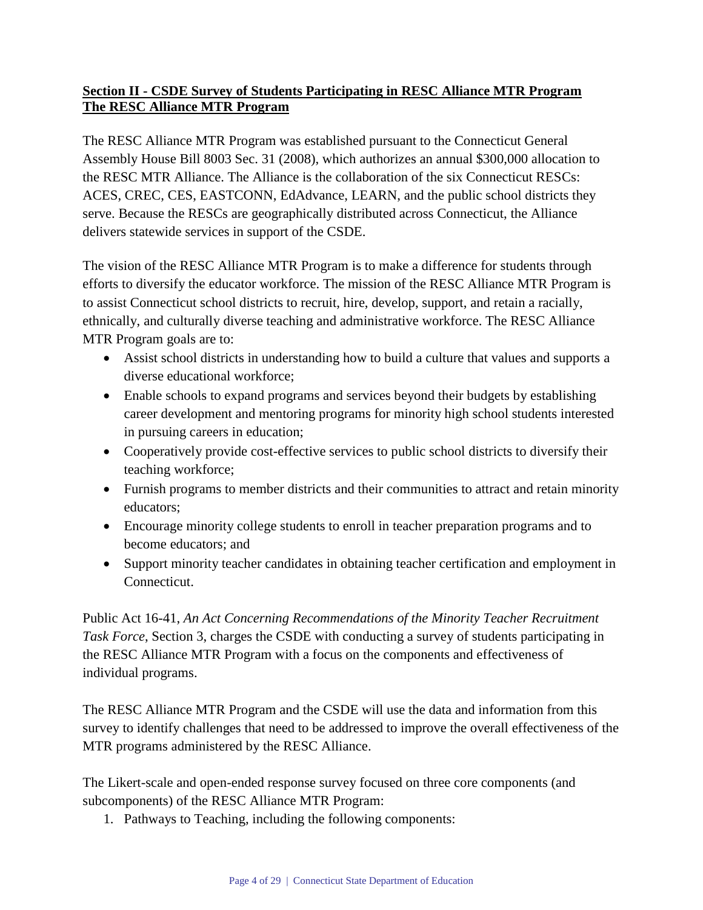# **Section II - CSDE Survey of Students Participating in RESC Alliance MTR Program The RESC Alliance MTR Program**

The RESC Alliance MTR Program was established pursuant to the Connecticut General Assembly House Bill 8003 Sec. 31 (2008), which authorizes an annual \$300,000 allocation to the RESC MTR Alliance. The Alliance is the collaboration of the six Connecticut RESCs: ACES, CREC, CES, EASTCONN, EdAdvance, LEARN, and the public school districts they serve. Because the RESCs are geographically distributed across Connecticut, the Alliance delivers statewide services in support of the CSDE.

The vision of the RESC Alliance MTR Program is to make a difference for students through efforts to diversify the educator workforce. The mission of the RESC Alliance MTR Program is to assist Connecticut school districts to recruit, hire, develop, support, and retain a racially, ethnically, and culturally diverse teaching and administrative workforce. The RESC Alliance MTR Program goals are to:

- Assist school districts in understanding how to build a culture that values and supports a diverse educational workforce;
- Enable schools to expand programs and services beyond their budgets by establishing career development and mentoring programs for minority high school students interested in pursuing careers in education;
- Cooperatively provide cost-effective services to public school districts to diversify their teaching workforce;
- Furnish programs to member districts and their communities to attract and retain minority educators;
- Encourage minority college students to enroll in teacher preparation programs and to become educators; and
- Support minority teacher candidates in obtaining teacher certification and employment in Connecticut.

Public Act 16-41, *An Act Concerning Recommendations of the Minority Teacher Recruitment Task Force*, Section 3, charges the CSDE with conducting a survey of students participating in the RESC Alliance MTR Program with a focus on the components and effectiveness of individual programs.

The RESC Alliance MTR Program and the CSDE will use the data and information from this survey to identify challenges that need to be addressed to improve the overall effectiveness of the MTR programs administered by the RESC Alliance.

The Likert-scale and open-ended response survey focused on three core components (and subcomponents) of the RESC Alliance MTR Program:

1. Pathways to Teaching, including the following components: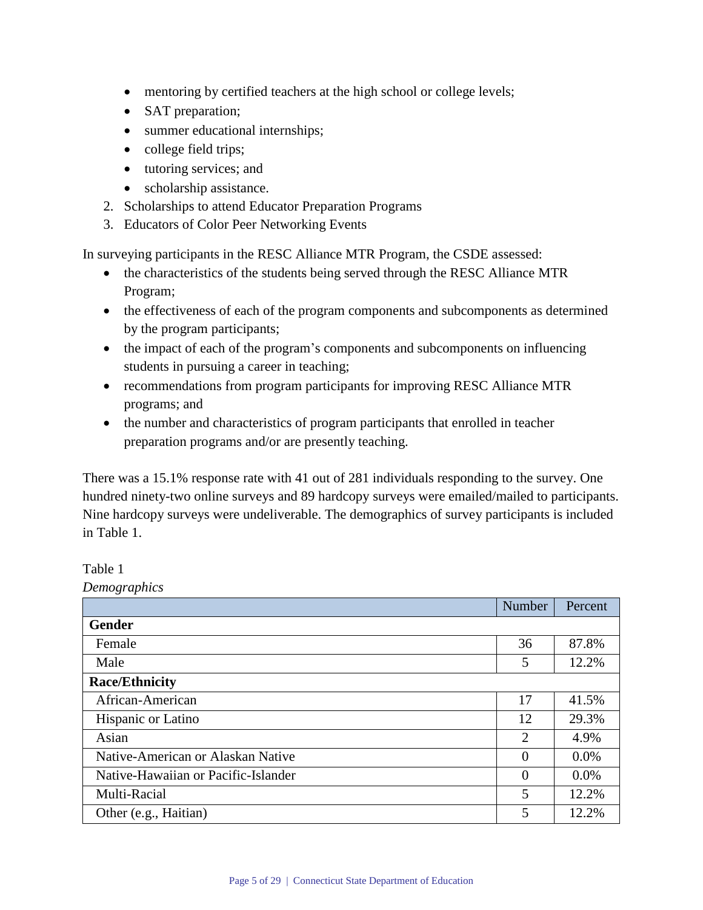- mentoring by certified teachers at the high school or college levels;
- SAT preparation;
- summer educational internships;
- college field trips;
- tutoring services; and
- scholarship assistance.
- 2. Scholarships to attend Educator Preparation Programs
- 3. Educators of Color Peer Networking Events

In surveying participants in the RESC Alliance MTR Program, the CSDE assessed:

- the characteristics of the students being served through the RESC Alliance MTR Program;
- the effectiveness of each of the program components and subcomponents as determined by the program participants;
- the impact of each of the program's components and subcomponents on influencing students in pursuing a career in teaching;
- recommendations from program participants for improving RESC Alliance MTR programs; and
- the number and characteristics of program participants that enrolled in teacher preparation programs and/or are presently teaching.

There was a 15.1% response rate with 41 out of 281 individuals responding to the survey. One hundred ninety-two online surveys and 89 hardcopy surveys were emailed/mailed to participants. Nine hardcopy surveys were undeliverable. The demographics of survey participants is included in Table 1.

Table 1

*Demographics* Number Percent **Gender** Female 36 87.8% Male 5 12.2% **Race/Ethnicity** African-American 17 41.5% Hispanic or Latino 12 29.3% Asian 2 4.9% Native-American or Alaskan Native 0 0 0.0% Native-Hawaiian or Pacific-Islander 0 0 0.0% Multi-Racial 12.2% Other (e.g., Haitian) 5 12.2%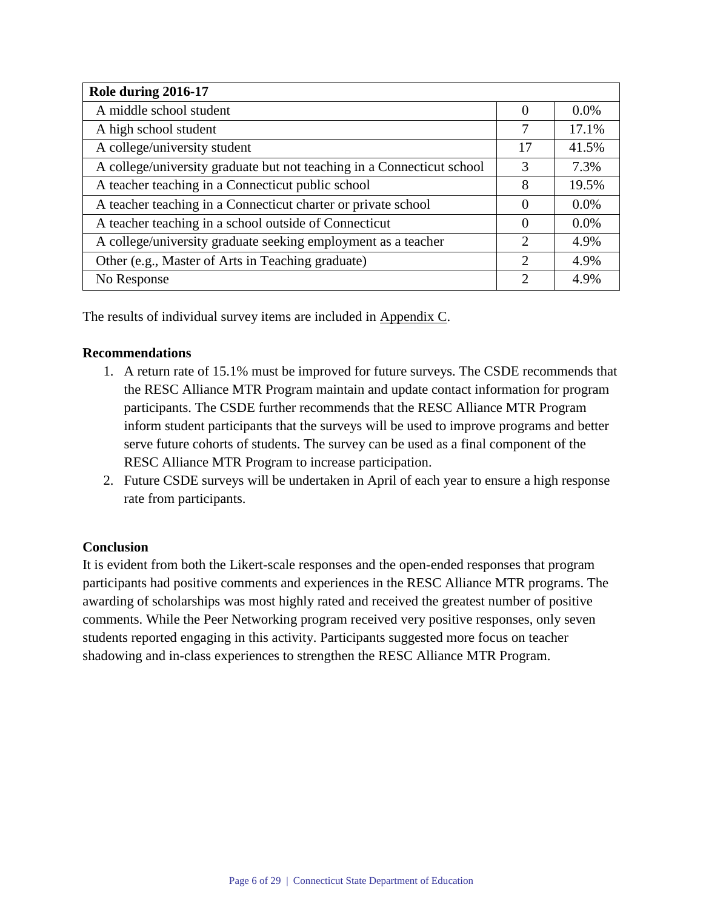| Role during 2016-17                                                    |                             |         |
|------------------------------------------------------------------------|-----------------------------|---------|
| A middle school student                                                | $\Omega$                    | 0.0%    |
| A high school student                                                  | 7                           | 17.1%   |
| A college/university student                                           | 17                          | 41.5%   |
| A college/university graduate but not teaching in a Connecticut school | 3                           | 7.3%    |
| A teacher teaching in a Connecticut public school                      | 8                           | 19.5%   |
| A teacher teaching in a Connecticut charter or private school          |                             | $0.0\%$ |
| A teacher teaching in a school outside of Connecticut                  |                             | 0.0%    |
| A college/university graduate seeking employment as a teacher          | $\overline{2}$              | 4.9%    |
| Other (e.g., Master of Arts in Teaching graduate)                      | $\mathcal{D}_{\mathcal{L}}$ | 4.9%    |
| No Response                                                            | $\overline{2}$              | 4.9%    |

The results of individual survey items are included in Appendix C.

#### **Recommendations**

- 1. A return rate of 15.1% must be improved for future surveys. The CSDE recommends that the RESC Alliance MTR Program maintain and update contact information for program participants. The CSDE further recommends that the RESC Alliance MTR Program inform student participants that the surveys will be used to improve programs and better serve future cohorts of students. The survey can be used as a final component of the RESC Alliance MTR Program to increase participation.
- 2. Future CSDE surveys will be undertaken in April of each year to ensure a high response rate from participants.

## **Conclusion**

It is evident from both the Likert-scale responses and the open-ended responses that program participants had positive comments and experiences in the RESC Alliance MTR programs. The awarding of scholarships was most highly rated and received the greatest number of positive comments. While the Peer Networking program received very positive responses, only seven students reported engaging in this activity. Participants suggested more focus on teacher shadowing and in-class experiences to strengthen the RESC Alliance MTR Program.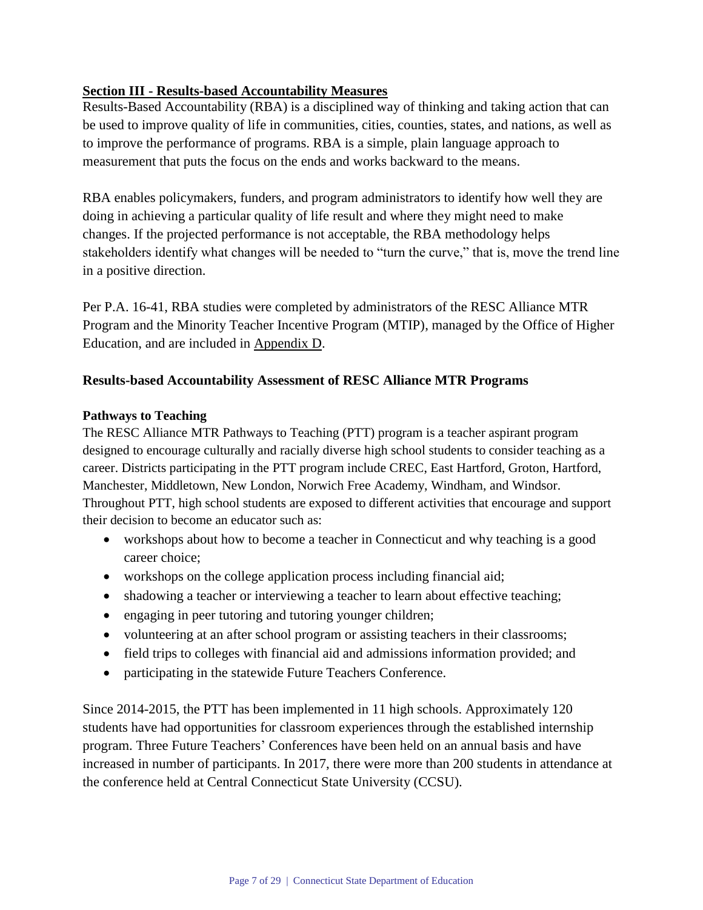# **Section III - Results-based Accountability Measures**

Results-Based Accountability (RBA) is a disciplined way of thinking and taking action that can be used to improve quality of life in communities, cities, counties, states, and nations, as well as to improve the performance of programs. RBA is a simple, plain language approach to measurement that puts the focus on the ends and works backward to the means.

RBA enables policymakers, funders, and program administrators to identify how well they are doing in achieving a particular quality of life result and where they might need to make changes. If the projected performance is not acceptable, the RBA methodology helps stakeholders identify what changes will be needed to "turn the curve," that is, move the trend line in a positive direction.

Per P.A. 16-41, RBA studies were completed by administrators of the RESC Alliance MTR Program and the Minority Teacher Incentive Program (MTIP), managed by the Office of Higher Education, and are included in Appendix D.

## **Results-based Accountability Assessment of RESC Alliance MTR Programs**

#### **Pathways to Teaching**

The RESC Alliance MTR Pathways to Teaching (PTT) program is a teacher aspirant program designed to encourage culturally and racially diverse high school students to consider teaching as a career. Districts participating in the PTT program include CREC, East Hartford, Groton, Hartford, Manchester, Middletown, New London, Norwich Free Academy, Windham, and Windsor. Throughout PTT, high school students are exposed to different activities that encourage and support their decision to become an educator such as:

- workshops about how to become a teacher in Connecticut and why teaching is a good career choice;
- workshops on the college application process including financial aid;
- shadowing a teacher or interviewing a teacher to learn about effective teaching;
- engaging in peer tutoring and tutoring younger children;
- volunteering at an after school program or assisting teachers in their classrooms;
- field trips to colleges with financial aid and admissions information provided; and
- participating in the statewide Future Teachers Conference.

Since 2014-2015, the PTT has been implemented in 11 high schools. Approximately 120 students have had opportunities for classroom experiences through the established internship program. Three Future Teachers' Conferences have been held on an annual basis and have increased in number of participants. In 2017, there were more than 200 students in attendance at the conference held at Central Connecticut State University (CCSU).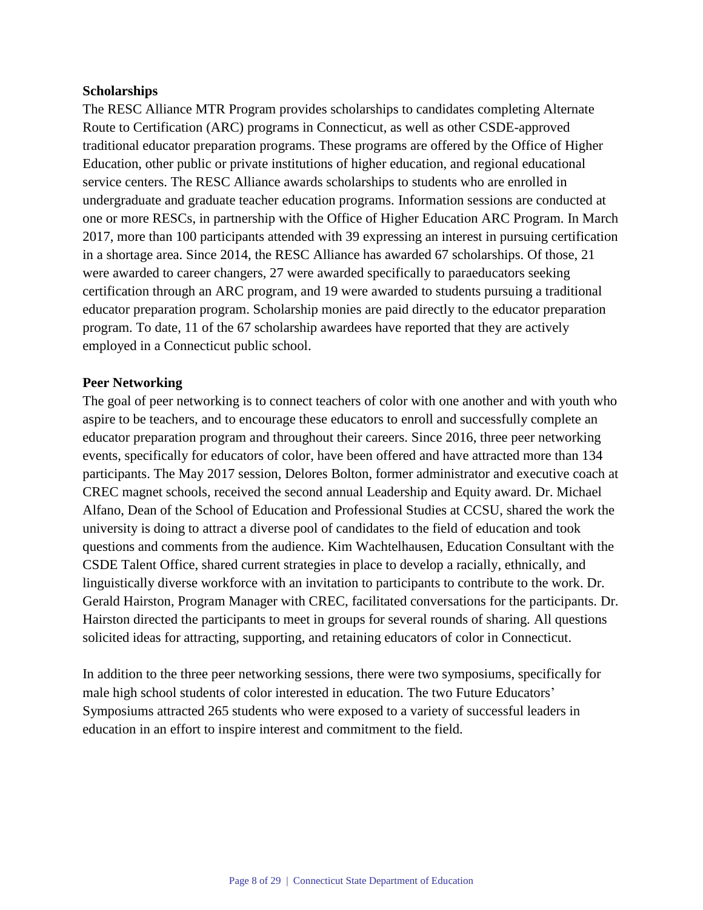#### **Scholarships**

The RESC Alliance MTR Program provides scholarships to candidates completing Alternate Route to Certification (ARC) programs in Connecticut, as well as other CSDE-approved traditional educator preparation programs. These programs are offered by the Office of Higher Education, other public or private institutions of higher education, and regional educational service centers. The RESC Alliance awards scholarships to students who are enrolled in undergraduate and graduate teacher education programs. Information sessions are conducted at one or more RESCs, in partnership with the Office of Higher Education ARC Program. In March 2017, more than 100 participants attended with 39 expressing an interest in pursuing certification in a shortage area. Since 2014, the RESC Alliance has awarded 67 scholarships. Of those, 21 were awarded to career changers, 27 were awarded specifically to paraeducators seeking certification through an ARC program, and 19 were awarded to students pursuing a traditional educator preparation program. Scholarship monies are paid directly to the educator preparation program. To date, 11 of the 67 scholarship awardees have reported that they are actively employed in a Connecticut public school.

#### **Peer Networking**

The goal of peer networking is to connect teachers of color with one another and with youth who aspire to be teachers, and to encourage these educators to enroll and successfully complete an educator preparation program and throughout their careers. Since 2016, three peer networking events, specifically for educators of color, have been offered and have attracted more than 134 participants. The May 2017 session, Delores Bolton, former administrator and executive coach at CREC magnet schools, received the second annual Leadership and Equity award. Dr. Michael Alfano, Dean of the School of Education and Professional Studies at CCSU, shared the work the university is doing to attract a diverse pool of candidates to the field of education and took questions and comments from the audience. Kim Wachtelhausen, Education Consultant with the CSDE Talent Office, shared current strategies in place to develop a racially, ethnically, and linguistically diverse workforce with an invitation to participants to contribute to the work. Dr. Gerald Hairston, Program Manager with CREC, facilitated conversations for the participants. Dr. Hairston directed the participants to meet in groups for several rounds of sharing. All questions solicited ideas for attracting, supporting, and retaining educators of color in Connecticut.

In addition to the three peer networking sessions, there were two symposiums, specifically for male high school students of color interested in education. The two Future Educators' Symposiums attracted 265 students who were exposed to a variety of successful leaders in education in an effort to inspire interest and commitment to the field.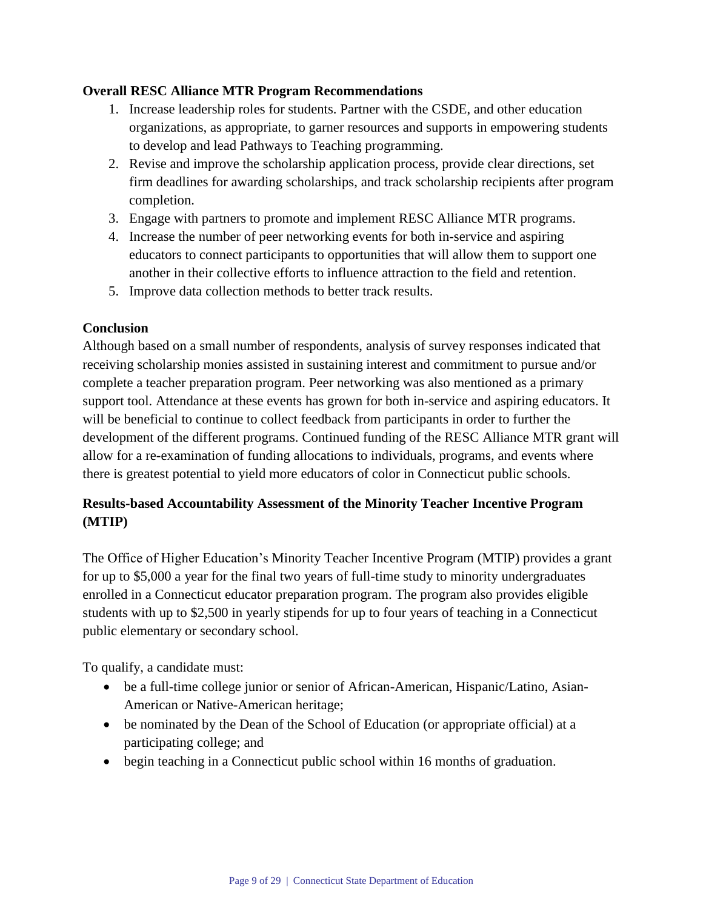#### **Overall RESC Alliance MTR Program Recommendations**

- 1. Increase leadership roles for students. Partner with the CSDE, and other education organizations, as appropriate, to garner resources and supports in empowering students to develop and lead Pathways to Teaching programming.
- 2. Revise and improve the scholarship application process, provide clear directions, set firm deadlines for awarding scholarships, and track scholarship recipients after program completion.
- 3. Engage with partners to promote and implement RESC Alliance MTR programs.
- 4. Increase the number of peer networking events for both in-service and aspiring educators to connect participants to opportunities that will allow them to support one another in their collective efforts to influence attraction to the field and retention.
- 5. Improve data collection methods to better track results.

#### **Conclusion**

Although based on a small number of respondents, analysis of survey responses indicated that receiving scholarship monies assisted in sustaining interest and commitment to pursue and/or complete a teacher preparation program. Peer networking was also mentioned as a primary support tool. Attendance at these events has grown for both in-service and aspiring educators. It will be beneficial to continue to collect feedback from participants in order to further the development of the different programs. Continued funding of the RESC Alliance MTR grant will allow for a re-examination of funding allocations to individuals, programs, and events where there is greatest potential to yield more educators of color in Connecticut public schools.

# **Results-based Accountability Assessment of the Minority Teacher Incentive Program (MTIP)**

The Office of Higher Education's Minority Teacher Incentive Program (MTIP) provides a grant for up to \$5,000 a year for the final two years of full-time study to minority undergraduates enrolled in a Connecticut educator preparation program. The program also provides eligible students with up to \$2,500 in yearly stipends for up to four years of teaching in a Connecticut public elementary or secondary school.

To qualify, a candidate must:

- be a full-time college junior or senior of African-American, Hispanic/Latino, Asian-American or Native-American heritage;
- be nominated by the Dean of the School of Education (or appropriate official) at a participating college; and
- begin teaching in a Connecticut public school within 16 months of graduation.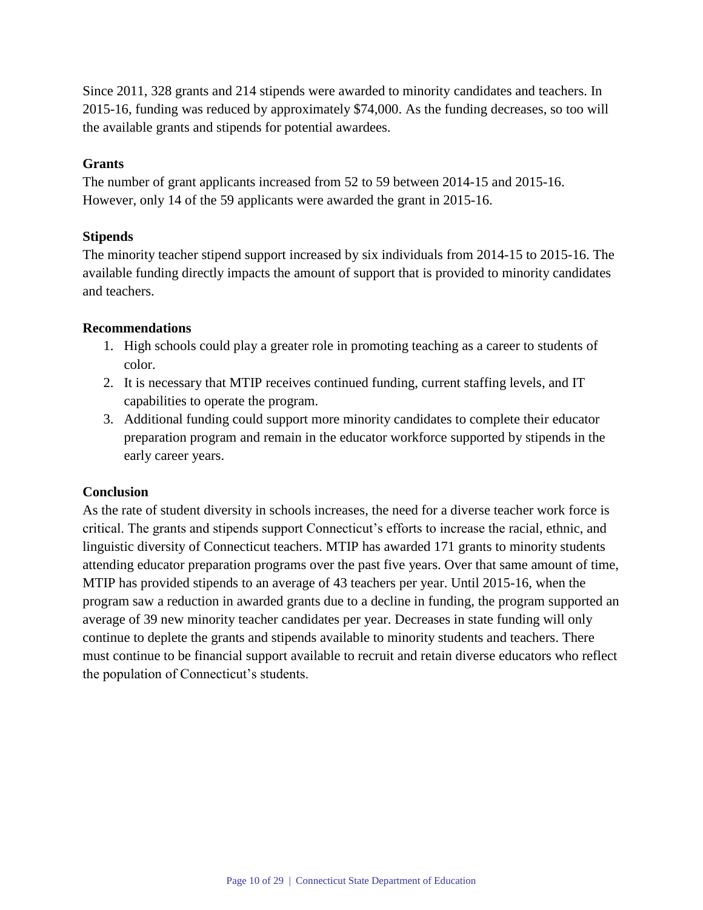Since 2011, 328 grants and 214 stipends were awarded to minority candidates and teachers. In 2015-16, funding was reduced by approximately \$74,000. As the funding decreases, so too will the available grants and stipends for potential awardees.

#### **Grants**

The number of grant applicants increased from 52 to 59 between 2014-15 and 2015-16. However, only 14 of the 59 applicants were awarded the grant in 2015-16.

#### **Stipends**

The minority teacher stipend support increased by six individuals from 2014-15 to 2015-16. The available funding directly impacts the amount of support that is provided to minority candidates and teachers.

#### **Recommendations**

- 1. High schools could play a greater role in promoting teaching as a career to students of color.
- 2. It is necessary that MTIP receives continued funding, current staffing levels, and IT capabilities to operate the program.
- 3. Additional funding could support more minority candidates to complete their educator preparation program and remain in the educator workforce supported by stipends in the early career years.

#### **Conclusion**

As the rate of student diversity in schools increases, the need for a diverse teacher work force is critical. The grants and stipends support Connecticut's efforts to increase the racial, ethnic, and linguistic diversity of Connecticut teachers. MTIP has awarded 171 grants to minority students attending educator preparation programs over the past five years. Over that same amount of time, MTIP has provided stipends to an average of 43 teachers per year. Until 2015-16, when the program saw a reduction in awarded grants due to a decline in funding, the program supported an average of 39 new minority teacher candidates per year. Decreases in state funding will only continue to deplete the grants and stipends available to minority students and teachers. There must continue to be financial support available to recruit and retain diverse educators who reflect the population of Connecticut's students.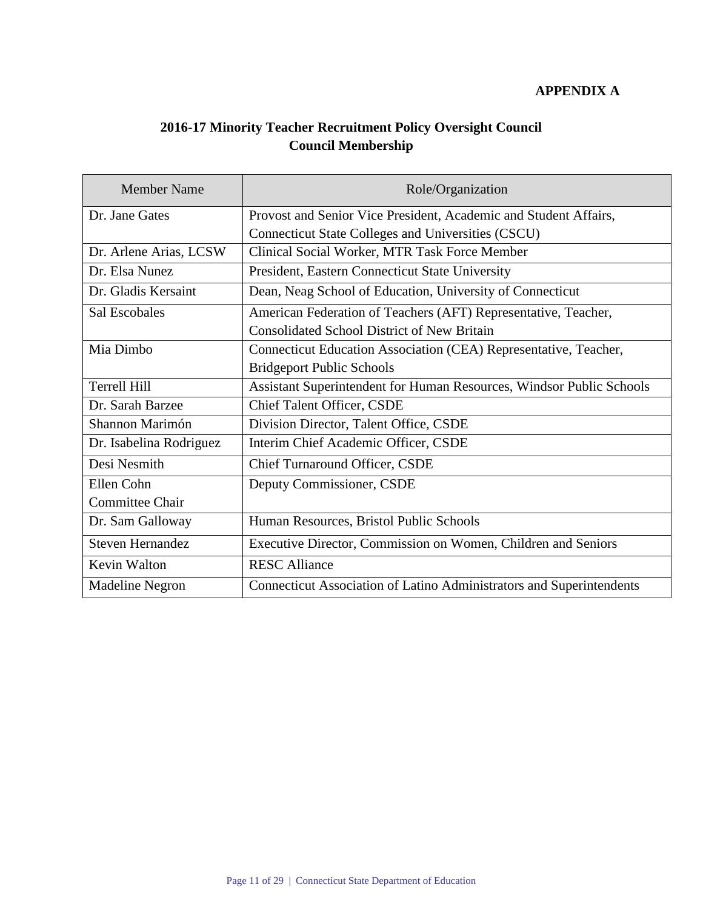# **APPENDIX A**

# **2016-17 Minority Teacher Recruitment Policy Oversight Council Council Membership**

| <b>Member Name</b>      | Role/Organization                                                    |
|-------------------------|----------------------------------------------------------------------|
| Dr. Jane Gates          | Provost and Senior Vice President, Academic and Student Affairs,     |
|                         | <b>Connecticut State Colleges and Universities (CSCU)</b>            |
| Dr. Arlene Arias, LCSW  | Clinical Social Worker, MTR Task Force Member                        |
| Dr. Elsa Nunez          | President, Eastern Connecticut State University                      |
| Dr. Gladis Kersaint     | Dean, Neag School of Education, University of Connecticut            |
| <b>Sal Escobales</b>    | American Federation of Teachers (AFT) Representative, Teacher,       |
|                         | <b>Consolidated School District of New Britain</b>                   |
| Mia Dimbo               | Connecticut Education Association (CEA) Representative, Teacher,     |
|                         | <b>Bridgeport Public Schools</b>                                     |
| Terrell Hill            | Assistant Superintendent for Human Resources, Windsor Public Schools |
| Dr. Sarah Barzee        | Chief Talent Officer, CSDE                                           |
| Shannon Marimón         | Division Director, Talent Office, CSDE                               |
| Dr. Isabelina Rodriguez | Interim Chief Academic Officer, CSDE                                 |
| Desi Nesmith            | <b>Chief Turnaround Officer, CSDE</b>                                |
| Ellen Cohn              | Deputy Commissioner, CSDE                                            |
| <b>Committee Chair</b>  |                                                                      |
| Dr. Sam Galloway        | Human Resources, Bristol Public Schools                              |
| <b>Steven Hernandez</b> | Executive Director, Commission on Women, Children and Seniors        |
| Kevin Walton            | <b>RESC Alliance</b>                                                 |
| <b>Madeline Negron</b>  | Connecticut Association of Latino Administrators and Superintendents |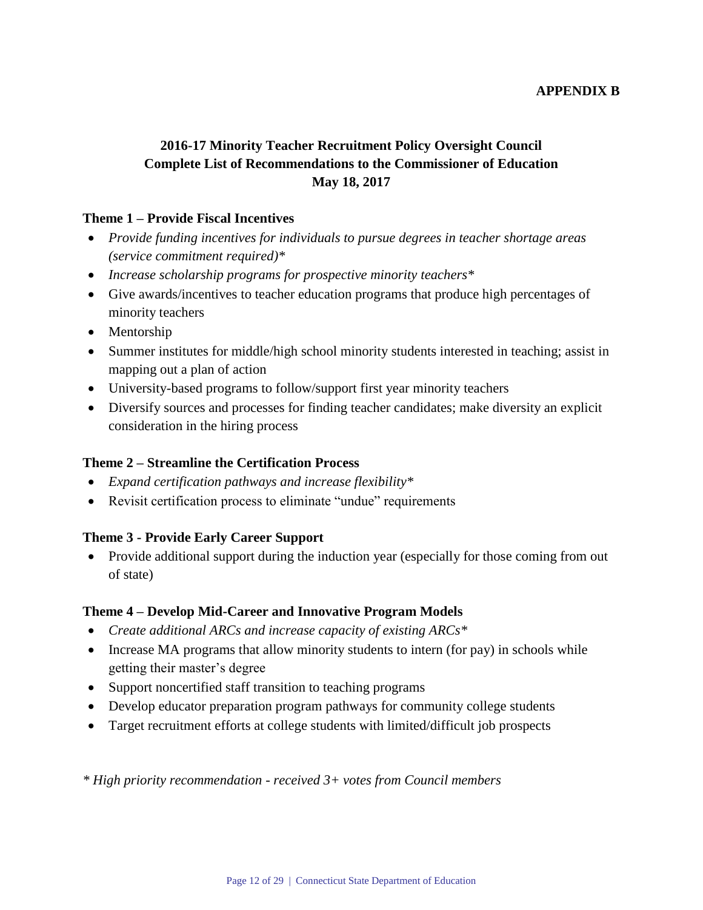#### **APPENDIX B**

# **2016-17 Minority Teacher Recruitment Policy Oversight Council Complete List of Recommendations to the Commissioner of Education May 18, 2017**

#### **Theme 1 – Provide Fiscal Incentives**

- *Provide funding incentives for individuals to pursue degrees in teacher shortage areas (service commitment required)\**
- *Increase scholarship programs for prospective minority teachers\**
- Give awards/incentives to teacher education programs that produce high percentages of minority teachers
- Mentorship
- Summer institutes for middle/high school minority students interested in teaching; assist in mapping out a plan of action
- University-based programs to follow/support first year minority teachers
- Diversify sources and processes for finding teacher candidates; make diversity an explicit consideration in the hiring process

#### **Theme 2 – Streamline the Certification Process**

- *Expand certification pathways and increase flexibility\**
- Revisit certification process to eliminate "undue" requirements

## **Theme 3 - Provide Early Career Support**

• Provide additional support during the induction year (especially for those coming from out of state)

#### **Theme 4 – Develop Mid-Career and Innovative Program Models**

- *Create additional ARCs and increase capacity of existing ARCs\**
- Increase MA programs that allow minority students to intern (for pay) in schools while getting their master's degree
- Support noncertified staff transition to teaching programs
- Develop educator preparation program pathways for community college students
- Target recruitment efforts at college students with limited/difficult job prospects

*\* High priority recommendation - received 3+ votes from Council members*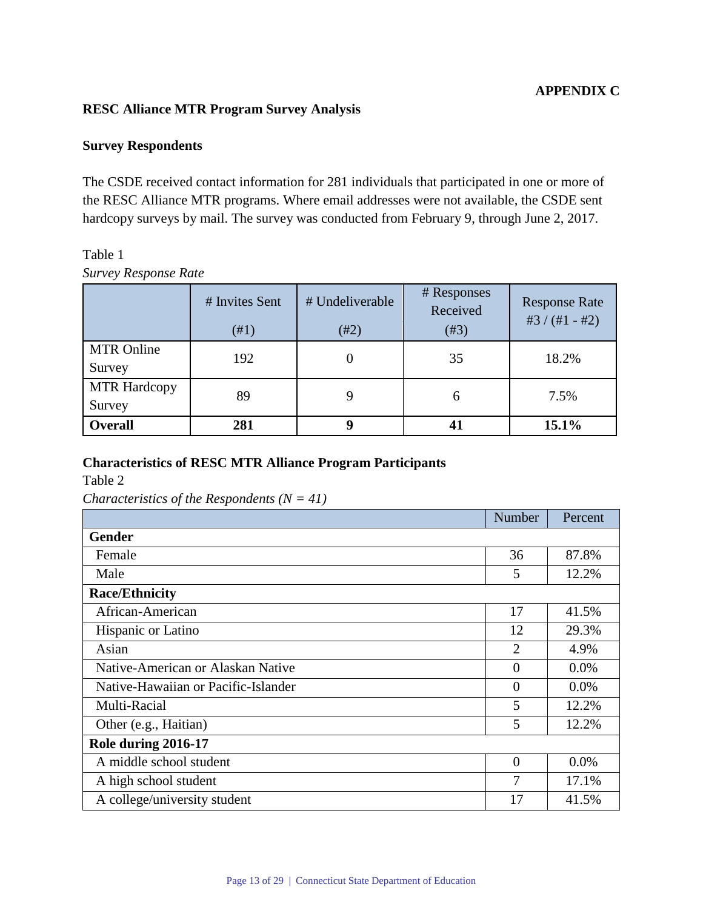## **APPENDIX C**

## **RESC Alliance MTR Program Survey Analysis**

#### **Survey Respondents**

The CSDE received contact information for 281 individuals that participated in one or more of the RESC Alliance MTR programs. Where email addresses were not available, the CSDE sent hardcopy surveys by mail. The survey was conducted from February 9, through June 2, 2017.

# Table 1 *Survey Response Rate*

|                               | # Invites Sent<br>(#1) | # Undeliverable<br>#2) | # Responses<br>Received<br>(#3) | <b>Response Rate</b><br>#3 $/(#1 - #2)$ |
|-------------------------------|------------------------|------------------------|---------------------------------|-----------------------------------------|
| <b>MTR Online</b><br>Survey   | 192                    |                        | 35                              | 18.2%                                   |
| <b>MTR Hardcopy</b><br>Survey | 89                     |                        | 6                               | 7.5%                                    |
| <b>Overall</b>                | 281                    |                        | 41                              | 15.1%                                   |

#### **Characteristics of RESC MTR Alliance Program Participants**

Table 2

*Characteristics of the Respondents (N = 41)*

|                                     | Number         | Percent |  |  |
|-------------------------------------|----------------|---------|--|--|
| <b>Gender</b>                       |                |         |  |  |
| Female                              | 36             | 87.8%   |  |  |
| Male                                | 5              | 12.2%   |  |  |
| <b>Race/Ethnicity</b>               |                |         |  |  |
| African-American                    | 17             | 41.5%   |  |  |
| Hispanic or Latino                  | 12             | 29.3%   |  |  |
| Asian                               | $\overline{2}$ | 4.9%    |  |  |
| Native-American or Alaskan Native   | $\overline{0}$ | $0.0\%$ |  |  |
| Native-Hawaiian or Pacific-Islander | $\theta$       | 0.0%    |  |  |
| Multi-Racial                        | 5              | 12.2%   |  |  |
| Other (e.g., Haitian)               | 5              | 12.2%   |  |  |
| Role during 2016-17                 |                |         |  |  |
| A middle school student             | $\theta$       | 0.0%    |  |  |
| A high school student               | 7              | 17.1%   |  |  |
| A college/university student        | 17             | 41.5%   |  |  |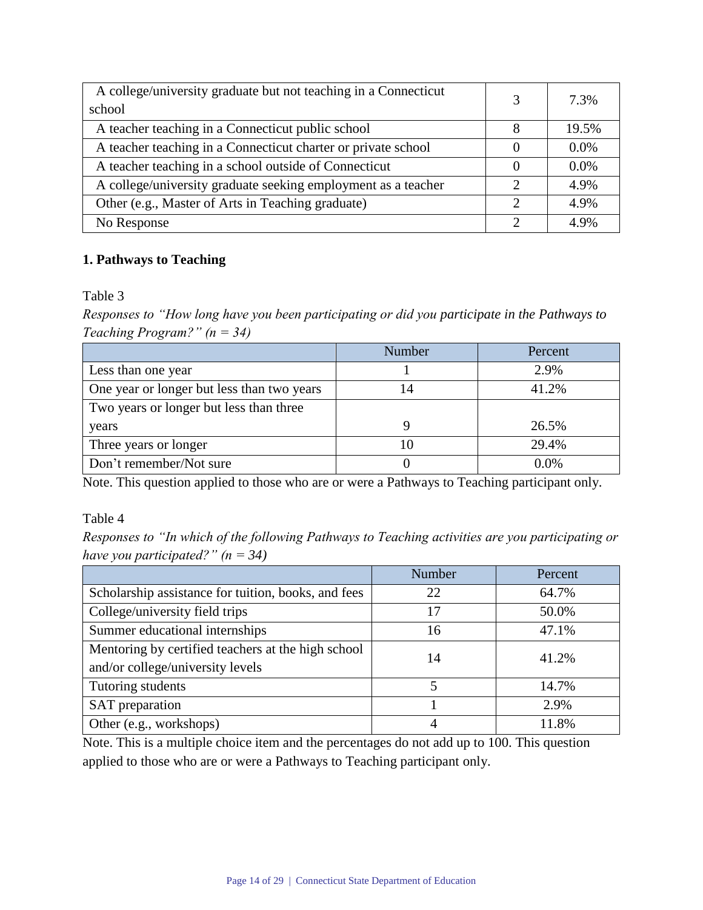| A college/university graduate but not teaching in a Connecticut<br>school | 3 | 7.3%    |
|---------------------------------------------------------------------------|---|---------|
| A teacher teaching in a Connecticut public school                         | 8 | 19.5%   |
| A teacher teaching in a Connecticut charter or private school             |   | $0.0\%$ |
| A teacher teaching in a school outside of Connecticut                     |   | $0.0\%$ |
| A college/university graduate seeking employment as a teacher             | っ | 4.9%    |
| Other (e.g., Master of Arts in Teaching graduate)                         | っ | 4.9%    |
| No Response                                                               | າ | 4.9%    |

# **1. Pathways to Teaching**

Table 3

*Responses to "How long have you been participating or did you participate in the Pathways to Teaching Program?" (n = 34)*

|                                            | Number | Percent |
|--------------------------------------------|--------|---------|
| Less than one year                         |        | 2.9%    |
| One year or longer but less than two years |        | 41.2%   |
| Two years or longer but less than three    |        |         |
| years                                      |        | 26.5%   |
| Three years or longer                      |        | 29.4%   |
| Don't remember/Not sure                    |        | $0.0\%$ |

Note. This question applied to those who are or were a Pathways to Teaching participant only.

## Table 4

*Responses to "In which of the following Pathways to Teaching activities are you participating or have you participated?" (n = 34)*

|                                                     | Number | Percent |  |
|-----------------------------------------------------|--------|---------|--|
| Scholarship assistance for tuition, books, and fees | 22     | 64.7%   |  |
| College/university field trips                      | 17     | 50.0%   |  |
| Summer educational internships                      | 16     | 47.1%   |  |
| Mentoring by certified teachers at the high school  | 14     | 41.2%   |  |
| and/or college/university levels                    |        |         |  |
| Tutoring students                                   | 5      | 14.7%   |  |
| SAT preparation                                     |        | 2.9%    |  |
| Other (e.g., workshops)                             | 4      | 11.8%   |  |

Note. This is a multiple choice item and the percentages do not add up to 100. This question applied to those who are or were a Pathways to Teaching participant only.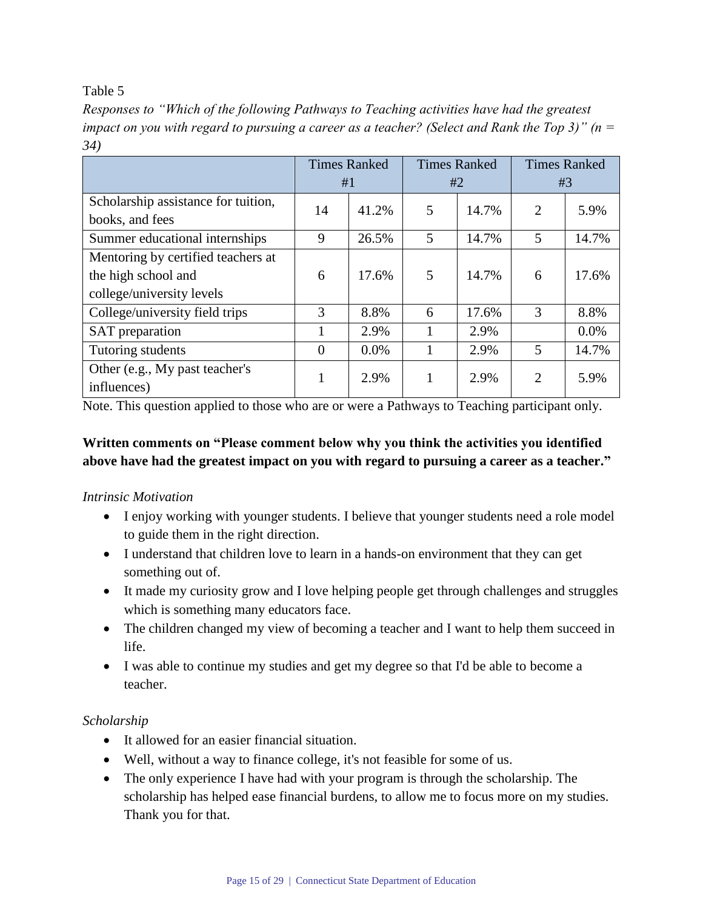*Responses to "Which of the following Pathways to Teaching activities have had the greatest impact on you with regard to pursuing a career as a teacher? (Select and Rank the Top 3)" (n = 34)*

|                                     |          | <b>Times Ranked</b> |    | <b>Times Ranked</b> |                | <b>Times Ranked</b> |
|-------------------------------------|----------|---------------------|----|---------------------|----------------|---------------------|
|                                     |          | #1                  |    | #2                  |                | #3                  |
| Scholarship assistance for tuition, | 14       | 41.2%               | 5  | 14.7%               | $\overline{2}$ | 5.9%                |
| books, and fees                     |          |                     |    |                     |                |                     |
| Summer educational internships      | 9        | 26.5%               | 5  | 14.7%               | 5              | 14.7%               |
| Mentoring by certified teachers at  |          |                     |    |                     |                |                     |
| the high school and                 | 6        | 17.6%               | 5  | 14.7%               | 6              | 17.6%               |
| college/university levels           |          |                     |    |                     |                |                     |
| College/university field trips      | 3        | 8.8%                | 6  | 17.6%               | 3              | 8.8%                |
| SAT preparation                     | 1        | 2.9%                | Т. | 2.9%                |                | 0.0%                |
| Tutoring students                   | $\theta$ | $0.0\%$             |    | 2.9%                | 5              | 14.7%               |
| Other (e.g., My past teacher's      |          | 2.9%                |    | 2.9%                | $\overline{2}$ | 5.9%                |
| influences)                         |          |                     |    |                     |                |                     |

Note. This question applied to those who are or were a Pathways to Teaching participant only.

# **Written comments on "Please comment below why you think the activities you identified above have had the greatest impact on you with regard to pursuing a career as a teacher."**

# *Intrinsic Motivation*

- I enjoy working with younger students. I believe that younger students need a role model to guide them in the right direction.
- I understand that children love to learn in a hands-on environment that they can get something out of.
- It made my curiosity grow and I love helping people get through challenges and struggles which is something many educators face.
- The children changed my view of becoming a teacher and I want to help them succeed in life.
- I was able to continue my studies and get my degree so that I'd be able to become a teacher.

# *Scholarship*

- It allowed for an easier financial situation.
- Well, without a way to finance college, it's not feasible for some of us.
- The only experience I have had with your program is through the scholarship. The scholarship has helped ease financial burdens, to allow me to focus more on my studies. Thank you for that.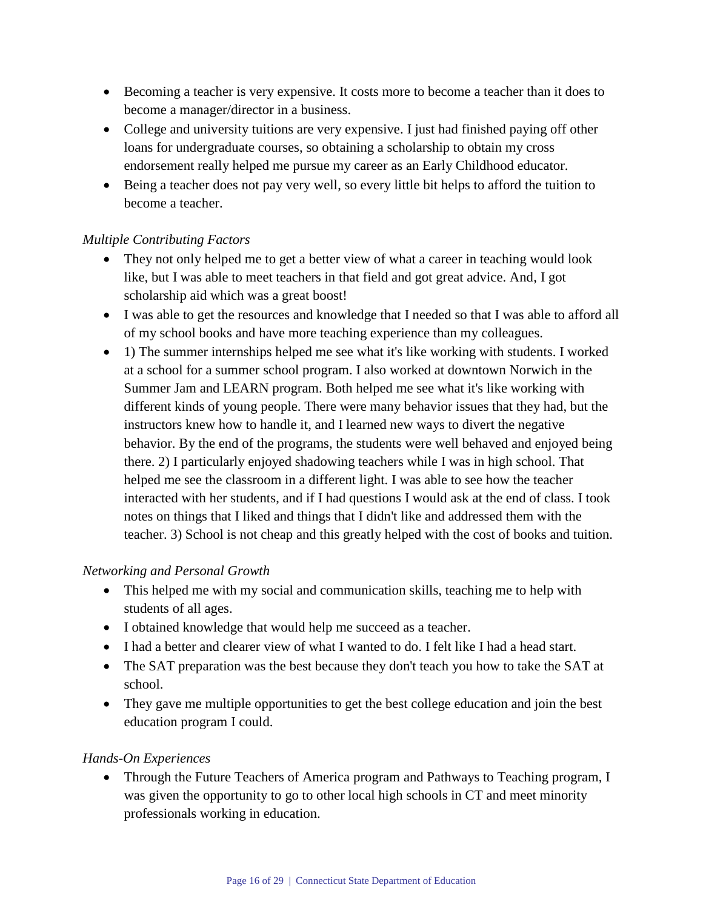- Becoming a teacher is very expensive. It costs more to become a teacher than it does to become a manager/director in a business.
- College and university tuitions are very expensive. I just had finished paying off other loans for undergraduate courses, so obtaining a scholarship to obtain my cross endorsement really helped me pursue my career as an Early Childhood educator.
- Being a teacher does not pay very well, so every little bit helps to afford the tuition to become a teacher.

# *Multiple Contributing Factors*

- They not only helped me to get a better view of what a career in teaching would look like, but I was able to meet teachers in that field and got great advice. And, I got scholarship aid which was a great boost!
- I was able to get the resources and knowledge that I needed so that I was able to afford all of my school books and have more teaching experience than my colleagues.
- 1) The summer internships helped me see what it's like working with students. I worked at a school for a summer school program. I also worked at downtown Norwich in the Summer Jam and LEARN program. Both helped me see what it's like working with different kinds of young people. There were many behavior issues that they had, but the instructors knew how to handle it, and I learned new ways to divert the negative behavior. By the end of the programs, the students were well behaved and enjoyed being there. 2) I particularly enjoyed shadowing teachers while I was in high school. That helped me see the classroom in a different light. I was able to see how the teacher interacted with her students, and if I had questions I would ask at the end of class. I took notes on things that I liked and things that I didn't like and addressed them with the teacher. 3) School is not cheap and this greatly helped with the cost of books and tuition.

## *Networking and Personal Growth*

- This helped me with my social and communication skills, teaching me to help with students of all ages.
- I obtained knowledge that would help me succeed as a teacher.
- I had a better and clearer view of what I wanted to do. I felt like I had a head start.
- The SAT preparation was the best because they don't teach you how to take the SAT at school.
- They gave me multiple opportunities to get the best college education and join the best education program I could.

## *Hands-On Experiences*

• Through the Future Teachers of America program and Pathways to Teaching program, I was given the opportunity to go to other local high schools in CT and meet minority professionals working in education.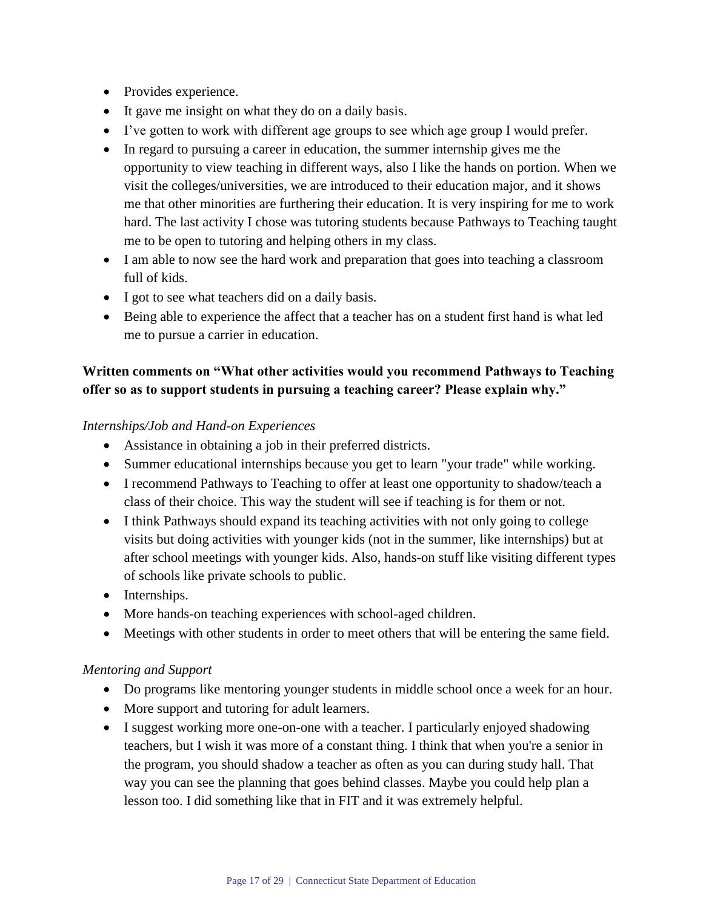- Provides experience.
- It gave me insight on what they do on a daily basis.
- I've gotten to work with different age groups to see which age group I would prefer.
- In regard to pursuing a career in education, the summer internship gives me the opportunity to view teaching in different ways, also I like the hands on portion. When we visit the colleges/universities, we are introduced to their education major, and it shows me that other minorities are furthering their education. It is very inspiring for me to work hard. The last activity I chose was tutoring students because Pathways to Teaching taught me to be open to tutoring and helping others in my class.
- I am able to now see the hard work and preparation that goes into teaching a classroom full of kids.
- I got to see what teachers did on a daily basis.
- Being able to experience the affect that a teacher has on a student first hand is what led me to pursue a carrier in education.

# **Written comments on "What other activities would you recommend Pathways to Teaching offer so as to support students in pursuing a teaching career? Please explain why."**

## *Internships/Job and Hand-on Experiences*

- Assistance in obtaining a job in their preferred districts.
- Summer educational internships because you get to learn "your trade" while working.
- I recommend Pathways to Teaching to offer at least one opportunity to shadow/teach a class of their choice. This way the student will see if teaching is for them or not.
- I think Pathways should expand its teaching activities with not only going to college visits but doing activities with younger kids (not in the summer, like internships) but at after school meetings with younger kids. Also, hands-on stuff like visiting different types of schools like private schools to public.
- Internships.
- More hands-on teaching experiences with school-aged children.
- Meetings with other students in order to meet others that will be entering the same field.

## *Mentoring and Support*

- Do programs like mentoring younger students in middle school once a week for an hour.
- More support and tutoring for adult learners.
- I suggest working more one-on-one with a teacher. I particularly enjoyed shadowing teachers, but I wish it was more of a constant thing. I think that when you're a senior in the program, you should shadow a teacher as often as you can during study hall. That way you can see the planning that goes behind classes. Maybe you could help plan a lesson too. I did something like that in FIT and it was extremely helpful.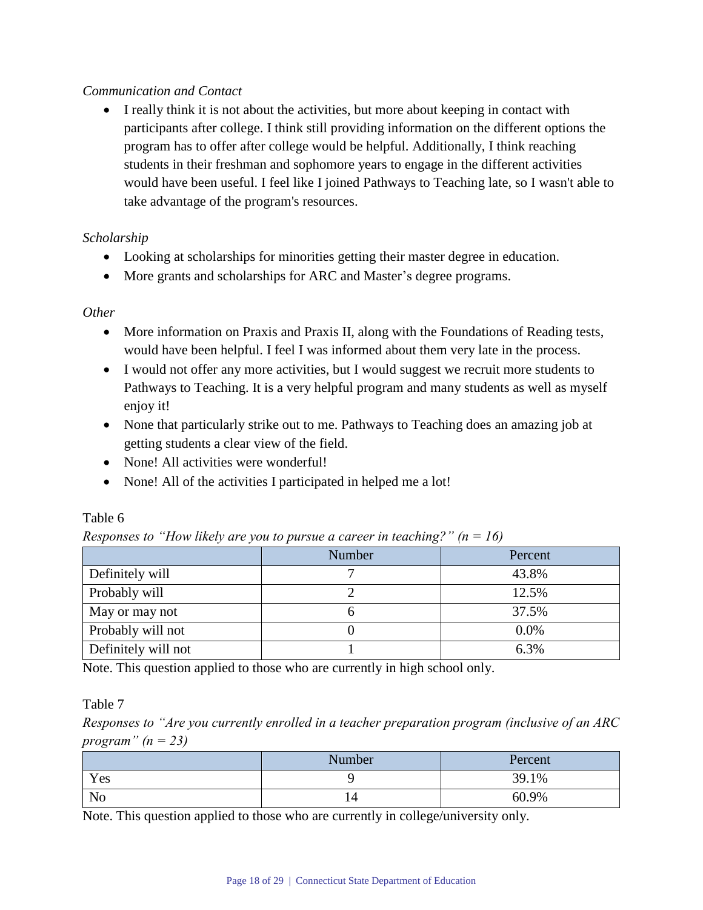## *Communication and Contact*

 I really think it is not about the activities, but more about keeping in contact with participants after college. I think still providing information on the different options the program has to offer after college would be helpful. Additionally, I think reaching students in their freshman and sophomore years to engage in the different activities would have been useful. I feel like I joined Pathways to Teaching late, so I wasn't able to take advantage of the program's resources.

## *Scholarship*

- Looking at scholarships for minorities getting their master degree in education.
- More grants and scholarships for ARC and Master's degree programs.

#### *Other*

- More information on Praxis and Praxis II, along with the Foundations of Reading tests, would have been helpful. I feel I was informed about them very late in the process.
- I would not offer any more activities, but I would suggest we recruit more students to Pathways to Teaching. It is a very helpful program and many students as well as myself enjoy it!
- None that particularly strike out to me. Pathways to Teaching does an amazing job at getting students a clear view of the field.
- None! All activities were wonderful!
- None! All of the activities I participated in helped me a lot!

|                     | <b>Number</b> | Percent |
|---------------------|---------------|---------|
| Definitely will     |               | 43.8%   |
| Probably will       |               | 12.5%   |
| May or may not      |               | 37.5%   |
| Probably will not   |               | 0.0%    |
| Definitely will not |               | 6.3%    |

## Table 6

*Responses to "How likely are you to pursue a career in teaching?" (n = 16)*

Note. This question applied to those who are currently in high school only.

Table 7

*Responses to "Are you currently enrolled in a teacher preparation program (inclusive of an ARC program" (n = 23)*

|     | Number | Percent |
|-----|--------|---------|
| Yes |        | 39.1%   |
| No  |        | 60.9%   |

Note. This question applied to those who are currently in college/university only.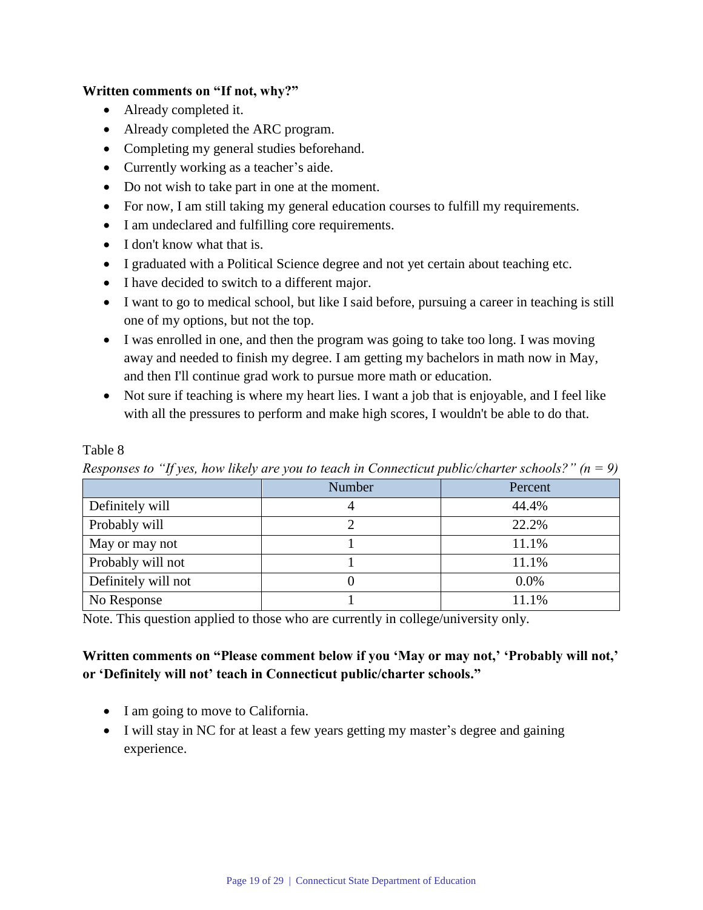#### **Written comments on "If not, why?"**

- Already completed it.
- Already completed the ARC program.
- Completing my general studies beforehand.
- Currently working as a teacher's aide.
- Do not wish to take part in one at the moment.
- For now, I am still taking my general education courses to fulfill my requirements.
- I am undeclared and fulfilling core requirements.
- I don't know what that is.
- I graduated with a Political Science degree and not yet certain about teaching etc.
- I have decided to switch to a different major.
- I want to go to medical school, but like I said before, pursuing a career in teaching is still one of my options, but not the top.
- I was enrolled in one, and then the program was going to take too long. I was moving away and needed to finish my degree. I am getting my bachelors in math now in May, and then I'll continue grad work to pursue more math or education.
- Not sure if teaching is where my heart lies. I want a job that is enjoyable, and I feel like with all the pressures to perform and make high scores, I wouldn't be able to do that.

#### Table 8

*Responses to "If yes, how likely are you to teach in Connecticut public/charter schools?" (n = 9)*

| <b>Number</b> | Percent |
|---------------|---------|
|               | 44.4%   |
|               | 22.2%   |
|               | 11.1%   |
|               | 11.1%   |
|               | 0.0%    |
|               | 11.1%   |
|               |         |

Note. This question applied to those who are currently in college/university only.

# **Written comments on "Please comment below if you 'May or may not,' 'Probably will not,' or 'Definitely will not' teach in Connecticut public/charter schools."**

- I am going to move to California.
- I will stay in NC for at least a few years getting my master's degree and gaining experience.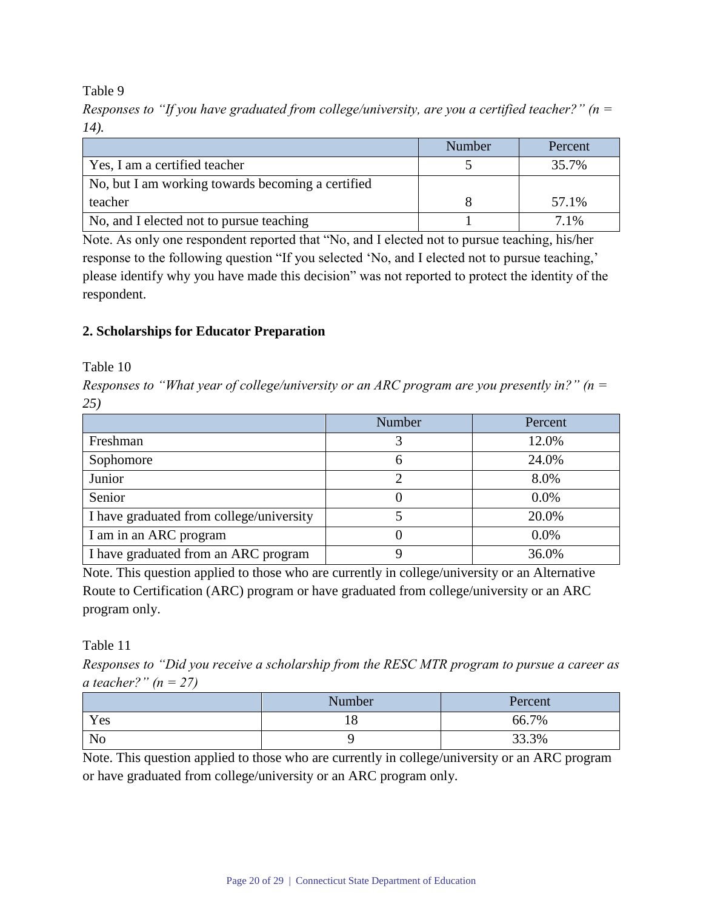*Responses to "If you have graduated from college/university, are you a certified teacher?" (n = 14).*

|                                                   | Number | Percent |
|---------------------------------------------------|--------|---------|
| Yes, I am a certified teacher                     |        | 35.7%   |
| No, but I am working towards becoming a certified |        |         |
| teacher                                           |        | 57.1%   |
| No, and I elected not to pursue teaching          |        | $7.1\%$ |

Note. As only one respondent reported that "No, and I elected not to pursue teaching, his/her response to the following question "If you selected 'No, and I elected not to pursue teaching,' please identify why you have made this decision" was not reported to protect the identity of the respondent.

## **2. Scholarships for Educator Preparation**

Table 10

*Responses to "What year of college/university or an ARC program are you presently in?" (n = 25)*

|                                          | Number | Percent |
|------------------------------------------|--------|---------|
| Freshman                                 |        | 12.0%   |
| Sophomore                                | 0      | 24.0%   |
| Junior                                   |        | 8.0%    |
| Senior                                   |        | $0.0\%$ |
| I have graduated from college/university |        | 20.0%   |
| I am in an ARC program                   |        | $0.0\%$ |
| I have graduated from an ARC program     |        | 36.0%   |

Note. This question applied to those who are currently in college/university or an Alternative Route to Certification (ARC) program or have graduated from college/university or an ARC program only.

Table 11

*Responses to "Did you receive a scholarship from the RESC MTR program to pursue a career as a teacher?" (n = 27)*

|     | Number<br>Percent |       |
|-----|-------------------|-------|
| Yes |                   | 66.7% |
| No  |                   | 33.3% |

Note. This question applied to those who are currently in college/university or an ARC program or have graduated from college/university or an ARC program only.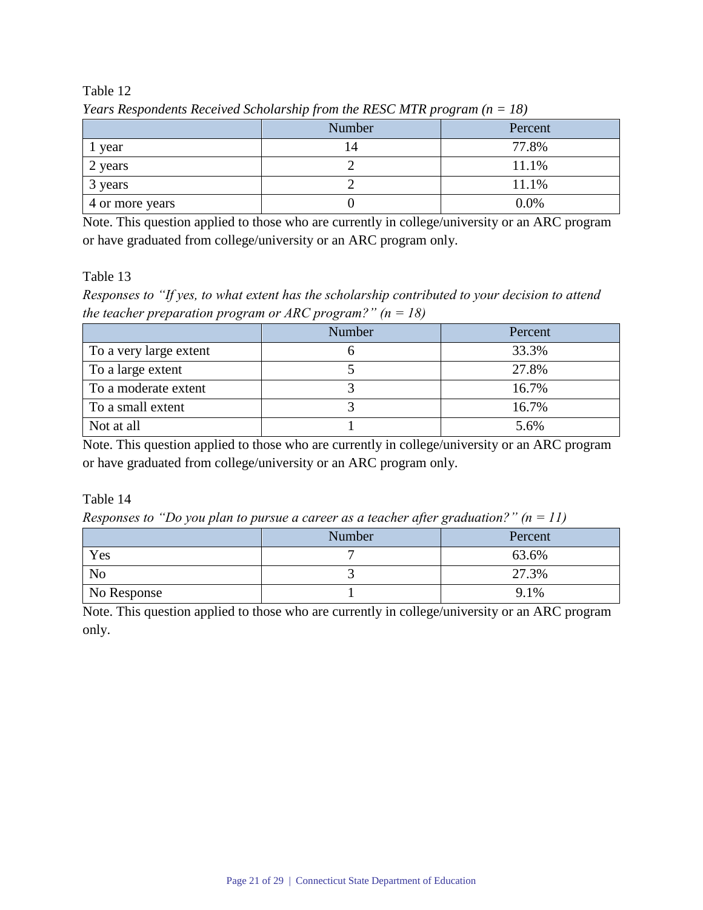|                 | Number | Percent |
|-----------------|--------|---------|
| year            | 4      | 77.8%   |
| 2 years         |        | 11.1%   |
| 3 years         |        | 11.1%   |
| 4 or more years |        | 0.0%    |

*Years Respondents Received Scholarship from the RESC MTR program (n = 18)*

Note. This question applied to those who are currently in college/university or an ARC program or have graduated from college/university or an ARC program only.

Table 13

*Responses to "If yes, to what extent has the scholarship contributed to your decision to attend the teacher preparation program or ARC program?" (n = 18)*

|                        | <b>Number</b> | Percent |
|------------------------|---------------|---------|
| To a very large extent |               | 33.3%   |
| To a large extent      |               | 27.8%   |
| To a moderate extent   |               | 16.7%   |
| To a small extent      |               | 16.7%   |
| Not at all             |               | 5.6%    |

Note. This question applied to those who are currently in college/university or an ARC program or have graduated from college/university or an ARC program only.

#### Table 14

*Responses to "Do you plan to pursue a career as a teacher after graduation?" (n = 11)*

|                | .<br>. |         |  |
|----------------|--------|---------|--|
|                | Number | Percent |  |
| Yes            |        | 63.6%   |  |
| N <sub>o</sub> |        | 27.3%   |  |
| No Response    |        | 9.1%    |  |

Note. This question applied to those who are currently in college/university or an ARC program only.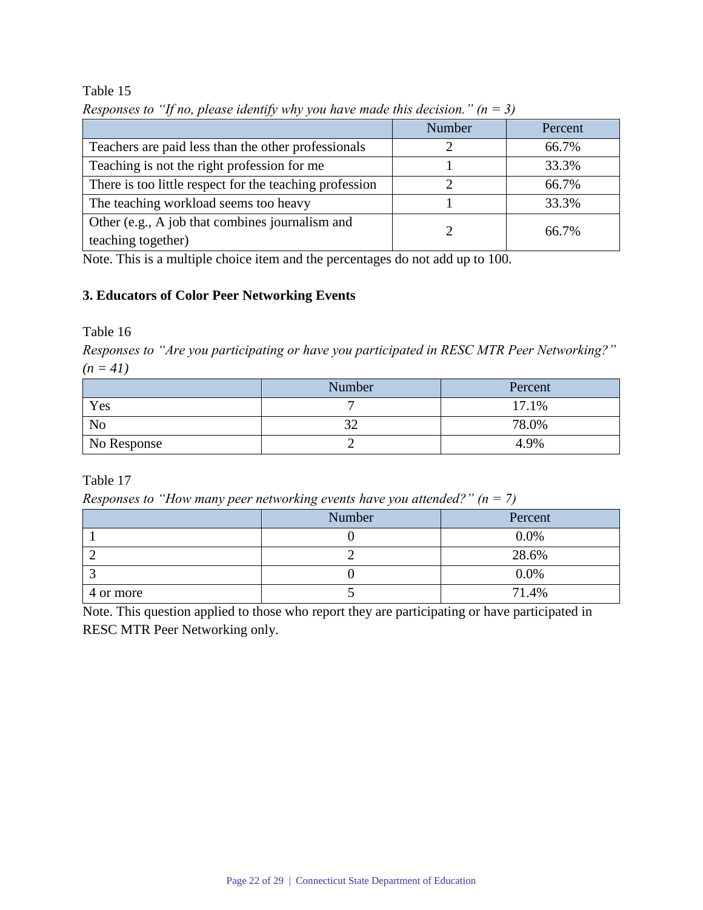|                                                                       | Number | Percent |
|-----------------------------------------------------------------------|--------|---------|
| Teachers are paid less than the other professionals                   |        | 66.7%   |
| Teaching is not the right profession for me                           |        | 33.3%   |
| There is too little respect for the teaching profession               |        | 66.7%   |
| The teaching workload seems too heavy                                 |        | 33.3%   |
| Other (e.g., A job that combines journalism and<br>teaching together) |        | 66.7%   |

*Responses to "If no, please identify why you have made this decision." (n = 3)*

Note. This is a multiple choice item and the percentages do not add up to 100.

# **3. Educators of Color Peer Networking Events**

Table 16

*Responses to "Are you participating or have you participated in RESC MTR Peer Networking?" (n = 41)*

|                | Number | Percent |
|----------------|--------|---------|
| Yes            |        | 17.1%   |
| N <sub>o</sub> |        | 78.0%   |
| No Response    |        | 4.9%    |

Table 17

*Responses to "How many peer networking events have you attended?" (n = 7)*

|           | Number | Percent |
|-----------|--------|---------|
|           |        | $0.0\%$ |
|           |        | 28.6%   |
|           |        | 0.0%    |
| 4 or more |        | 71.4%   |

Note. This question applied to those who report they are participating or have participated in RESC MTR Peer Networking only.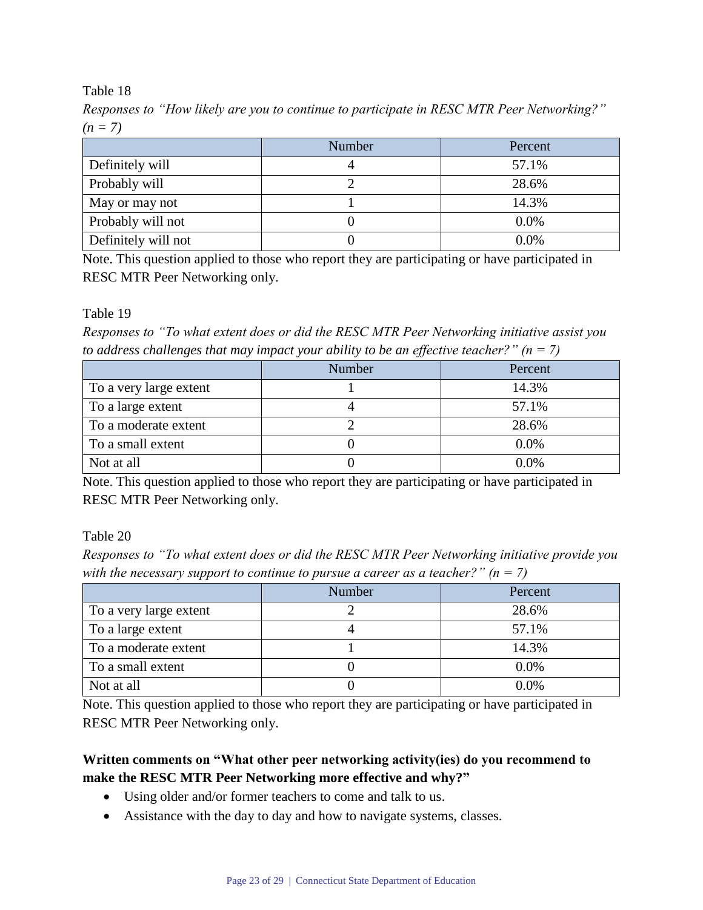*Responses to "How likely are you to continue to participate in RESC MTR Peer Networking?" (n = 7)*

|                     | Number | Percent |
|---------------------|--------|---------|
| Definitely will     |        | 57.1%   |
| Probably will       |        | 28.6%   |
| May or may not      |        | 14.3%   |
| Probably will not   |        | 0.0%    |
| Definitely will not |        | 0.0%    |

Note. This question applied to those who report they are participating or have participated in RESC MTR Peer Networking only.

Table 19

*Responses to "To what extent does or did the RESC MTR Peer Networking initiative assist you to address challenges that may impact your ability to be an effective teacher?" (n = 7)*

|                        | Number | Percent |
|------------------------|--------|---------|
| To a very large extent |        | 14.3%   |
| To a large extent      |        | 57.1%   |
| To a moderate extent   |        | 28.6%   |
| To a small extent      |        | $0.0\%$ |
| Not at all             |        | $0.0\%$ |

Note. This question applied to those who report they are participating or have participated in RESC MTR Peer Networking only.

Table 20

*Responses to "To what extent does or did the RESC MTR Peer Networking initiative provide you with the necessary support to continue to pursue a career as a teacher?" (n = 7)*

|                        | Number | Percent |
|------------------------|--------|---------|
| To a very large extent |        | 28.6%   |
| To a large extent      |        | 57.1%   |
| To a moderate extent   |        | 14.3%   |
| To a small extent      |        | 0.0%    |
| Not at all             |        | 0.0%    |

Note. This question applied to those who report they are participating or have participated in RESC MTR Peer Networking only.

# **Written comments on "What other peer networking activity(ies) do you recommend to make the RESC MTR Peer Networking more effective and why?"**

- Using older and/or former teachers to come and talk to us.
- Assistance with the day to day and how to navigate systems, classes.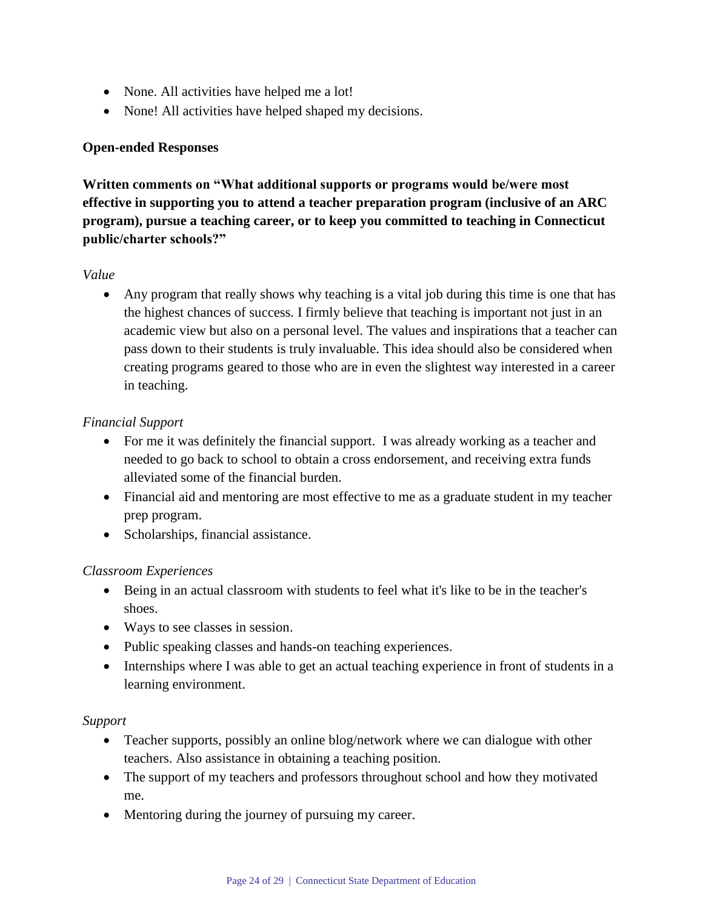- None. All activities have helped me a lot!
- None! All activities have helped shaped my decisions.

## **Open-ended Responses**

**Written comments on "What additional supports or programs would be/were most effective in supporting you to attend a teacher preparation program (inclusive of an ARC program), pursue a teaching career, or to keep you committed to teaching in Connecticut public/charter schools?"**

#### *Value*

 Any program that really shows why teaching is a vital job during this time is one that has the highest chances of success. I firmly believe that teaching is important not just in an academic view but also on a personal level. The values and inspirations that a teacher can pass down to their students is truly invaluable. This idea should also be considered when creating programs geared to those who are in even the slightest way interested in a career in teaching.

#### *Financial Support*

- For me it was definitely the financial support. I was already working as a teacher and needed to go back to school to obtain a cross endorsement, and receiving extra funds alleviated some of the financial burden.
- Financial aid and mentoring are most effective to me as a graduate student in my teacher prep program.
- Scholarships, financial assistance.

## *Classroom Experiences*

- Being in an actual classroom with students to feel what it's like to be in the teacher's shoes.
- Ways to see classes in session.
- Public speaking classes and hands-on teaching experiences.
- Internships where I was able to get an actual teaching experience in front of students in a learning environment.

#### *Support*

- Teacher supports, possibly an online blog/network where we can dialogue with other teachers. Also assistance in obtaining a teaching position.
- The support of my teachers and professors throughout school and how they motivated me.
- Mentoring during the journey of pursuing my career.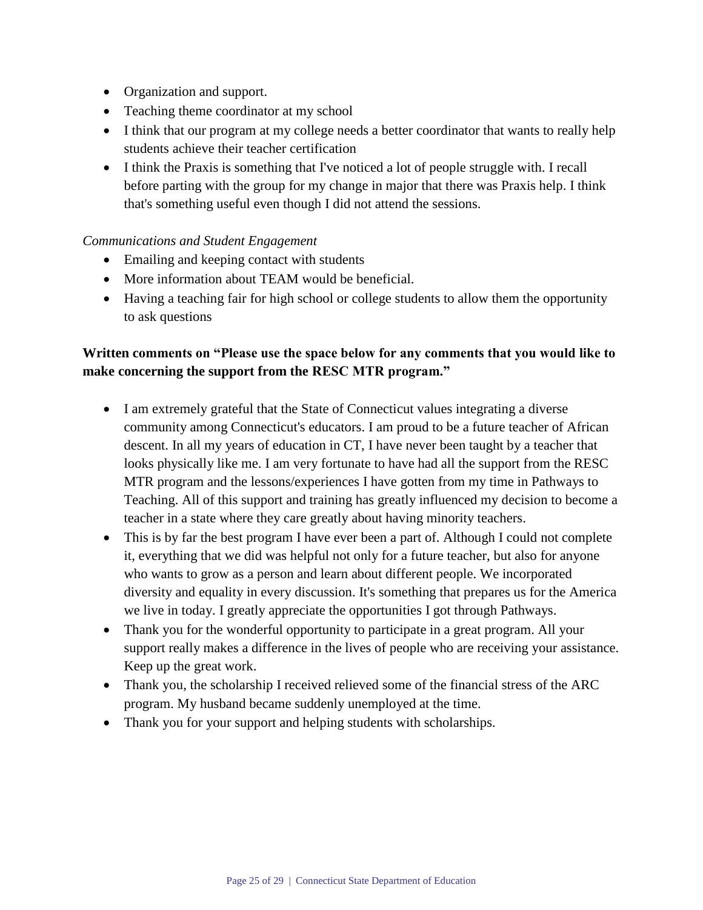- Organization and support.
- Teaching theme coordinator at my school
- I think that our program at my college needs a better coordinator that wants to really help students achieve their teacher certification
- I think the Praxis is something that I've noticed a lot of people struggle with. I recall before parting with the group for my change in major that there was Praxis help. I think that's something useful even though I did not attend the sessions.

## *Communications and Student Engagement*

- Emailing and keeping contact with students
- More information about TEAM would be beneficial.
- Having a teaching fair for high school or college students to allow them the opportunity to ask questions

# **Written comments on "Please use the space below for any comments that you would like to make concerning the support from the RESC MTR program."**

- I am extremely grateful that the State of Connecticut values integrating a diverse community among Connecticut's educators. I am proud to be a future teacher of African descent. In all my years of education in CT, I have never been taught by a teacher that looks physically like me. I am very fortunate to have had all the support from the RESC MTR program and the lessons/experiences I have gotten from my time in Pathways to Teaching. All of this support and training has greatly influenced my decision to become a teacher in a state where they care greatly about having minority teachers.
- This is by far the best program I have ever been a part of. Although I could not complete it, everything that we did was helpful not only for a future teacher, but also for anyone who wants to grow as a person and learn about different people. We incorporated diversity and equality in every discussion. It's something that prepares us for the America we live in today. I greatly appreciate the opportunities I got through Pathways.
- Thank you for the wonderful opportunity to participate in a great program. All your support really makes a difference in the lives of people who are receiving your assistance. Keep up the great work.
- Thank you, the scholarship I received relieved some of the financial stress of the ARC program. My husband became suddenly unemployed at the time.
- Thank you for your support and helping students with scholarships.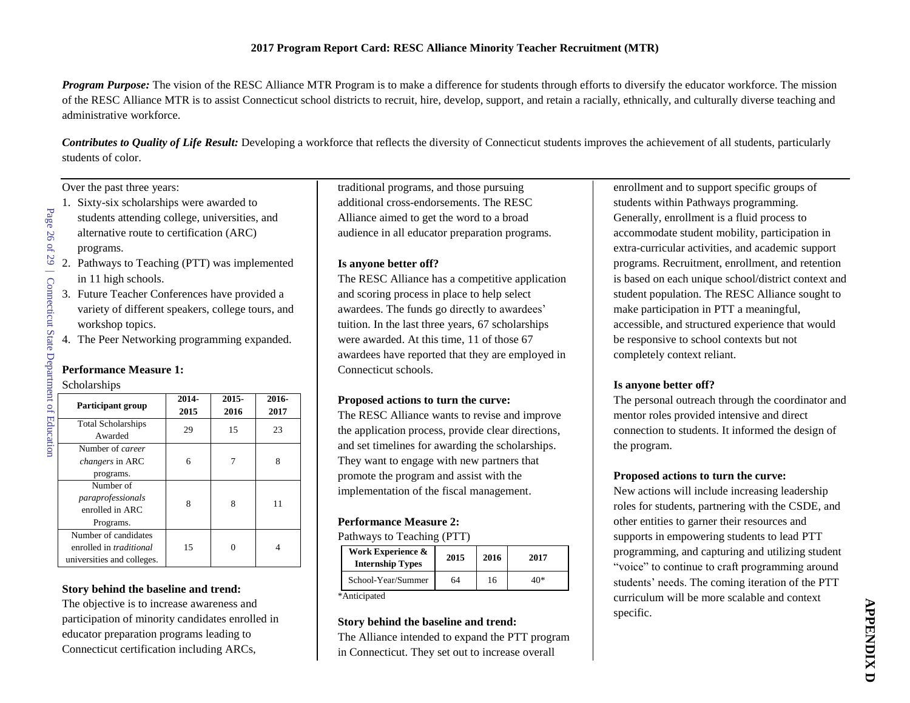*Program Purpose:* The vision of the RESC Alliance MTR Program is to make a difference for students through efforts to diversify the educator workforce. The mission of the RESC Alliance MTR is to assist Connecticut school districts to recruit, hire, develop, support, and retain a racially, ethnically, and culturally diverse teaching and administrative workforce.

*Contributes to Quality of Life Result:* Developing a workforce that reflects the diversity of Connecticut students improves the achievement of all students, particularly students of color.

Over the past three years:

1. Sixty-six scholarships were awarded to students attending college, universities, and alternative route to certification (ARC)

programs.

Page 26

of 29

| Connecticut State Department of Education

| Connecticut State Department of Education

- 2. Pathways to Teaching (PTT) was implemented in 11 high schools.
- 3. Future Teacher Conferences have provided a variety of different speakers, college tours, and workshop topics.
- 4. The Peer Networking programming expanded.

#### **Performance Measure 1:**

#### Scholarships

| <b>Participant group</b>             | 2014-<br>2015 | 2015-<br>2016 | 2016-<br>2017 |
|--------------------------------------|---------------|---------------|---------------|
| <b>Total Scholarships</b><br>Awarded | 29            | 15            | 23            |
| Number of <i>career</i>              |               |               |               |
| <i>changers</i> in ARC               | 6             |               | 8             |
| programs.                            |               |               |               |
| Number of                            |               |               |               |
| paraprofessionals                    | 8             | 8             | 11            |
| enrolled in ARC                      |               |               |               |
| Programs.                            |               |               |               |
| Number of candidates                 |               |               |               |
| enrolled in <i>traditional</i>       | 15            |               |               |
| universities and colleges.           |               |               |               |

#### **Story behind the baseline and trend:**

The objective is to increase awareness and participation of minority candidates enrolled in educator preparation programs leading to Connecticut certification including ARCs,

traditional programs, and those pursuing additional cross-endorsements. The RESC Alliance aimed to get the word to a broad audience in all educator preparation programs.

#### **Is anyone better off?**

The RESC Alliance has a competitive application and scoring process in place to help select awardees. The funds go directly to awardees' tuition. In the last three years, 67 scholarships were awarded. At this time, 11 of those 67 awardees have reported that they are employed in Connecticut schools.

#### **Proposed actions to turn the curve:**

The RESC Alliance wants to revise and improve the application process, provide clear directions, and set timelines for awarding the scholarships. They want to engage with new partners that promote the program and assist with the implementation of the fiscal management.

#### **Performance Measure 2:**

Pathways to Teaching (PTT)

| Work Experience &<br><b>Internship Types</b> | 2015 | 2016 | 2017 |
|----------------------------------------------|------|------|------|
| School-Year/Summer                           | 64   | 16   | 40*  |

\*Anticipated

#### **Story behind the baseline and trend:**

The Alliance intended to expand the PTT program in Connecticut. They set out to increase overall

enrollment and to support specific groups of students within Pathways programming. Generally, enrollment is a fluid process to accommodate student mobility, participation in extra-curricular activities, and academic support programs. Recruitment, enrollment, and retention is based on each unique school/district context and student population. The RESC Alliance sought to make participation in PTT a meaningful, accessible, and structured experience that would be responsive to school contexts but not completely context reliant.

#### **Is anyone better off?**

The personal outreach through the coordinator and mentor roles provided intensive and direct connection to students. It informed the design of the program.

#### **Proposed actions to turn the curve:**

New actions will include increasing leadership roles for students, partnering with the CSDE, and other entities to garner their resources and supports in empowering students to lead PTT programming, and capturing and utilizing student "voice" to continue to craft programming around students' needs. The coming iteration of the PTT curriculum will be more scalable and context specific.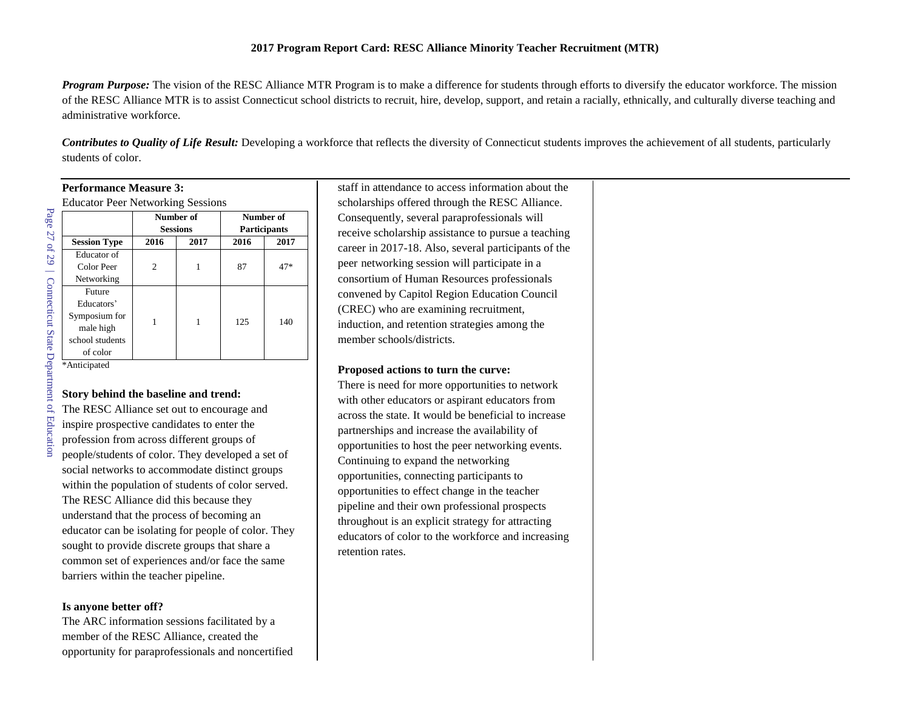#### **2017 Program Report Card: RESC Alliance Minority Teacher Recruitment (MTR)**

*Program Purpose:* The vision of the RESC Alliance MTR Program is to make a difference for students through efforts to diversify the educator workforce. The mission of the RESC Alliance MTR is to assist Connecticut school districts to recruit, hire, develop, support, and retain a racially, ethnically, and culturally diverse teaching and administrative workforce.

*Contributes to Quality of Life Result:* Developing a workforce that reflects the diversity of Connecticut students improves the achievement of all students, particularly students of color.

| <b>Performance Measure 3:</b>            |                 |      |                     |      |
|------------------------------------------|-----------------|------|---------------------|------|
| <b>Educator Peer Networking Sessions</b> |                 |      |                     |      |
|                                          | Number of       |      | Number of           |      |
|                                          | <b>Sessions</b> |      | <b>Participants</b> |      |
| <b>Session Type</b>                      | 2016            | 2017 | 2016                | 2017 |
| Educator of                              |                 |      |                     |      |
| Color Peer                               | 2               | 1    | 87                  | 47*  |
| Networking                               |                 |      |                     |      |
| Future                                   |                 |      |                     |      |
| Educators'                               |                 |      |                     |      |
| Symposium for                            |                 | 1    | 125                 | 140  |
| male high                                |                 |      |                     |      |
| school students                          |                 |      |                     |      |
| of color                                 |                 |      |                     |      |
| *Anticipated                             |                 |      |                     |      |

# Page 27 of 29 | Connecticut State Department of Education Education

#### **Story behind the baseline and trend:**

The RESC Alliance set out to encourage and inspire prospective candidates to enter the profession from across different groups of people/students of color. They developed a set of social networks to accommodate distinct groups within the population of students of color served. The RESC Alliance did this because they understand that the process of becoming an educator can be isolating for people of color. They sought to provide discrete groups that share a common set of experiences and/or face the same barriers within the teacher pipeline.

#### **Is anyone better off?**

The ARC information sessions facilitated by a member of the RESC Alliance, created the opportunity for paraprofessionals and noncertified

staff in attendance to access information about the scholarships offered through the RESC Alliance. Consequently, several paraprofessionals will receive scholarship assistance to pursue a teaching career in 2017-18. Also, several participants of the peer networking session will participate in a consortium of Human Resources professionals convened by Capitol Region Education Council (CREC) who are examining recruitment, induction, and retention strategies among the member schools/districts.

#### **Proposed actions to turn the curve:**

There is need for more opportunities to network with other educators or aspirant educators from across the state. It would be beneficial to increase partnerships and increase the availability of opportunities to host the peer networking events. Continuing to expand the networking opportunities, connecting participants to opportunities to effect change in the teacher pipeline and their own professional prospects throughout is an explicit strategy for attracting educators of color to the workforce and increasing retention rates.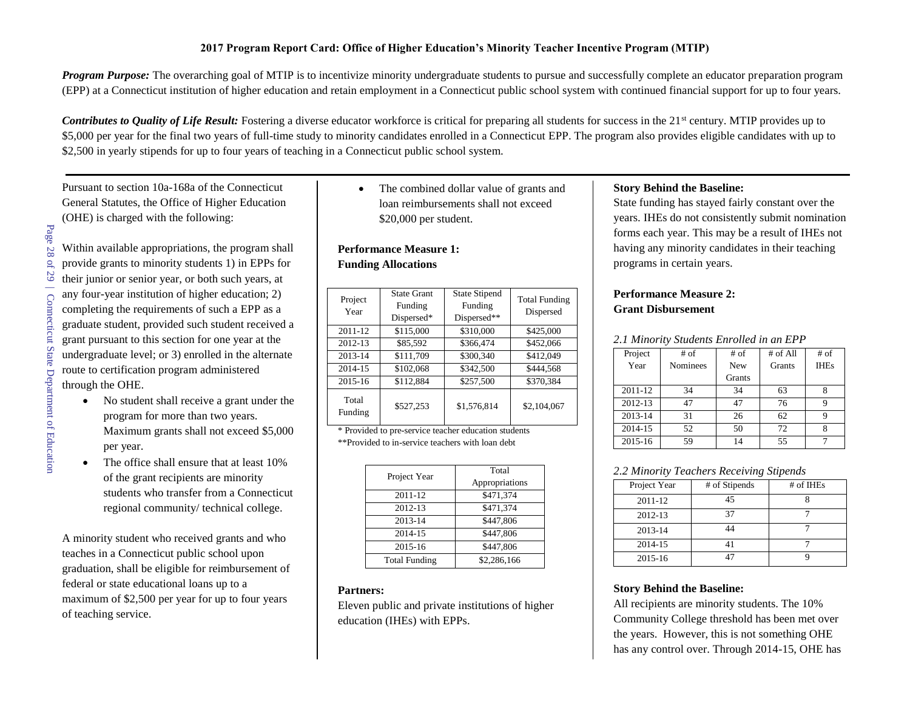#### **2017 Program Report Card: Office of Higher Education's Minority Teacher Incentive Program (MTIP)**

*Program Purpose:* The overarching goal of MTIP is to incentivize minority undergraduate students to pursue and successfully complete an educator preparation program (EPP) at a Connecticut institution of higher education and retain employment in a Connecticut public school system with continued financial support for up to four years.

*Contributes to Quality of Life Result:* Fostering a diverse educator workforce is critical for preparing all students for success in the 21<sup>st</sup> century. MTIP provides up to \$5,000 per year for the final two years of full-time study to minority candidates enrolled in a Connecticut EPP. The program also provides eligible candidates with up to \$2,500 in yearly stipends for up to four years of teaching in a Connecticut public school system.

Pursuant to section 10a-168a of the Connecticut General Statutes, the Office of Higher Education (OHE) is charged with the following:

- Within available appropriations, the program shall provide grants to minority students 1) in EPPs for their junior or senior year, or both such years, at any four-year institution of higher education; 2) completing the requirements of such a EPP as a graduate student, provided such student received a grant pursuant to this section for one year at the undergraduate level; or 3) enrolled in the alternate route to certification program administered through the OHE.
	- No student shall receive a grant under the program for more than two years. Maximum grants shall not exceed \$5,000 per year.
	- The office shall ensure that at least 10% of the grant recipients are minority students who transfer from a Connecticut regional community/ technical college.

A minority student who received grants and who teaches in a Connecticut public school upon graduation, shall be eligible for reimbursement of federal or state educational loans up to a maximum of \$2,500 per year for up to four years of teaching service.

• The combined dollar value of grants and loan reimbursements shall not exceed \$20,000 per student.

#### **Performance Measure 1: Funding Allocations**

| Project<br>Year  | <b>State Grant</b><br>Funding<br>Dispersed* | <b>State Stipend</b><br>Funding<br>Dispersed** | <b>Total Funding</b><br>Dispersed |
|------------------|---------------------------------------------|------------------------------------------------|-----------------------------------|
| 2011-12          | \$115,000                                   | \$310,000                                      | \$425,000                         |
| 2012-13          | \$85,592                                    | \$366,474                                      | \$452,066                         |
| 2013-14          | \$111,709                                   | \$300,340                                      | \$412,049                         |
| 2014-15          | \$102,068                                   | \$342,500                                      | \$444.568                         |
| 2015-16          | \$112,884                                   | \$257,500                                      | \$370,384                         |
| Total<br>Funding | \$527,253                                   | \$1,576,814                                    | \$2,104,067                       |

\* Provided to pre-service teacher education students \*\*Provided to in-service teachers with loan debt

| Project Year         | Total<br>Appropriations |
|----------------------|-------------------------|
| 2011-12              | \$471,374               |
| 2012-13              | \$471,374               |
| 2013-14              | \$447,806               |
| 2014-15              | \$447.806               |
| 2015-16              | \$447,806               |
| <b>Total Funding</b> | \$2,286,166             |

#### **Partners:**

Eleven public and private institutions of higher education (IHEs) with EPPs.

#### **Story Behind the Baseline:**

State funding has stayed fairly constant over the years. IHEs do not consistently submit nomination forms each year. This may be a result of IHEs not having any minority candidates in their teaching programs in certain years.

#### **Performance Measure 2: Grant Disbursement**

#### *2.1 Minority Students Enrolled in an EPP*

| Project     | $#$ of          | # of          | # of All      | $#$ of      |
|-------------|-----------------|---------------|---------------|-------------|
| Year        | <b>Nominees</b> | <b>New</b>    | <b>Grants</b> | <b>IHEs</b> |
|             |                 | <b>Grants</b> |               |             |
| $2011 - 12$ | 34              | 34            | 63            | 8           |
| 2012-13     | 47              | 47            | 76            | 9           |
| 2013-14     | 31              | 26            | 62            | q           |
| 2014-15     | 52              | 50            | 72            | 8           |
| 2015-16     | 59              | 14            | 55            |             |

#### *2.2 Minority Teachers Receiving Stipends*

| Project Year | # of Stipends | # of IHEs |  |
|--------------|---------------|-----------|--|
| 2011-12      | 45            |           |  |
| 2012-13      | 37            |           |  |
| 2013-14      | 44            |           |  |
| 2014-15      |               |           |  |
| 2015-16      |               |           |  |

#### **Story Behind the Baseline:**

All recipients are minority students. The 10% Community College threshold has been met over the years. However, this is not something OHE has any control over. Through 2014-15, OHE has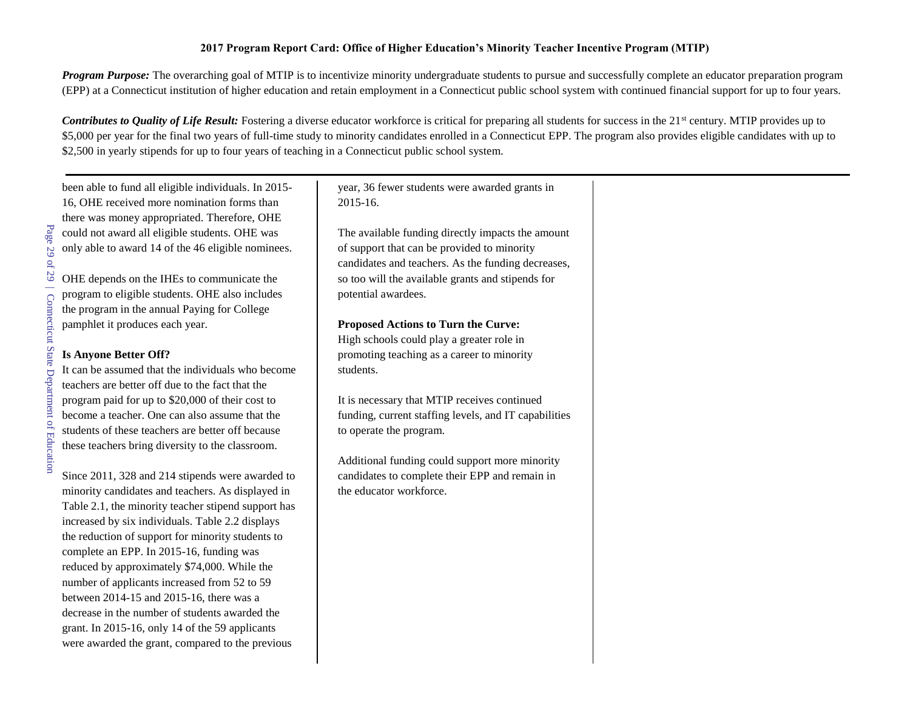#### **2017 Program Report Card: Office of Higher Education's Minority Teacher Incentive Program (MTIP)**

*Program Purpose:* The overarching goal of MTIP is to incentivize minority undergraduate students to pursue and successfully complete an educator preparation program (EPP) at a Connecticut institution of higher education and retain employment in a Connecticut public school system with continued financial support for up to four years.

*Contributes to Quality of Life Result:* Fostering a diverse educator workforce is critical for preparing all students for success in the 21<sup>st</sup> century. MTIP provides up to \$5,000 per year for the final two years of full-time study to minority candidates enrolled in a Connecticut EPP. The program also provides eligible candidates with up to \$2,500 in yearly stipends for up to four years of teaching in a Connecticut public school system.

been able to fund all eligible individuals. In 2015- 16, OHE received more nomination forms than there was money appropriated. Therefore, OHE could not award all eligible students. OHE was only able to award 14 of the 46 eligible nominees.

OHE depends on the IHEs to communicate the program to eligible students. OHE also includes the program in the annual Paying for College pamphlet it produces each year.

#### **Is Anyone Better Off?**

It can be assumed that the individuals who become teachers are better off due to the fact that the program paid for up to \$20,000 of their cost to become a teacher. One can also assume that the students of these teachers are better off because these teachers bring diversity to the classroom.

Since 2011, 328 and 214 stipends were awarded to minority candidates and teachers. As displayed in Table 2.1, the minority teacher stipend support has increased by six individuals. Table 2.2 displays the reduction of support for minority students to complete an EPP. In 2015-16, funding was reduced by approximately \$74,000. While the number of applicants increased from 52 to 59 between 2014-15 and 2015-16, there was a decrease in the number of students awarded the grant. In 2015-16, only 14 of the 59 applicants were awarded the grant, compared to the previous

year, 36 fewer students were awarded grants in 2015-16.

The available funding directly impacts the amount of support that can be provided to minority candidates and teachers. As the funding decreases, so too will the available grants and stipends for potential awardees.

#### **Proposed Actions to Turn the Curve:**

High schools could play a greater role in promoting teaching as a career to minority students.

It is necessary that MTIP receives continued funding, current staffing levels, and IT capabilities to operate the program.

Additional funding could support more minority candidates to complete their EPP and remain in the educator workforce.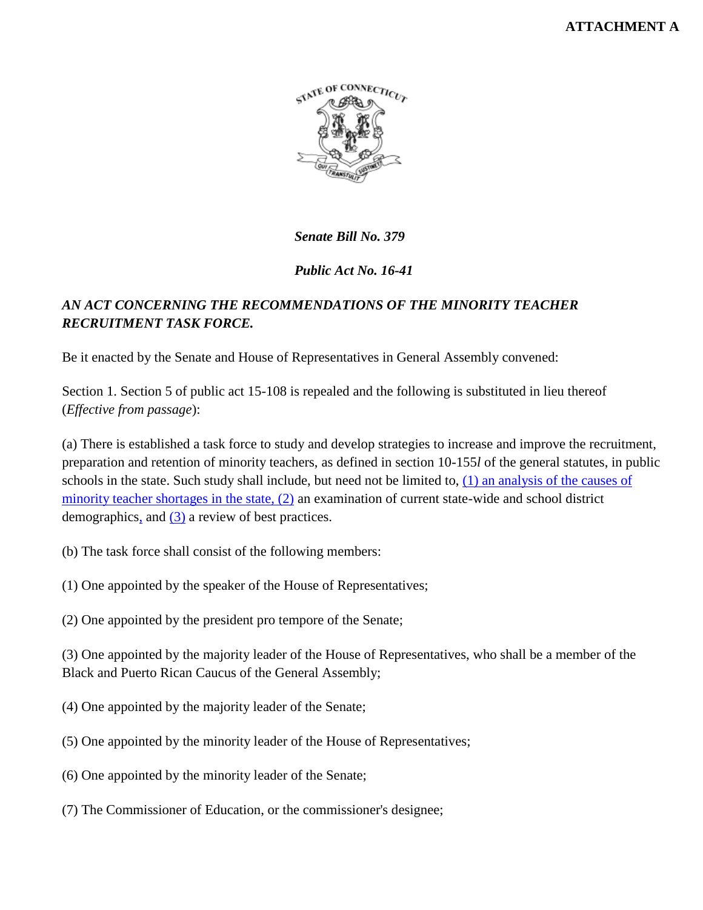## **ATTACHMENT A**



*Senate Bill No. 379*

*Public Act No. 16-41*

# *AN ACT CONCERNING THE RECOMMENDATIONS OF THE MINORITY TEACHER RECRUITMENT TASK FORCE.*

Be it enacted by the Senate and House of Representatives in General Assembly convened:

Section 1. Section 5 of public act 15-108 is repealed and the following is substituted in lieu thereof (*Effective from passage*):

(a) There is established a task force to study and develop strategies to increase and improve the recruitment, preparation and retention of minority teachers, as defined in section 10-155*l* of the general statutes, in public schools in the state. Such study shall include, but need not be limited to, (1) an analysis of the causes of minority teacher shortages in the state, (2) an examination of current state-wide and school district demographics, and (3) a review of best practices.

- (b) The task force shall consist of the following members:
- (1) One appointed by the speaker of the House of Representatives;
- (2) One appointed by the president pro tempore of the Senate;

(3) One appointed by the majority leader of the House of Representatives, who shall be a member of the Black and Puerto Rican Caucus of the General Assembly;

- (4) One appointed by the majority leader of the Senate;
- (5) One appointed by the minority leader of the House of Representatives;
- (6) One appointed by the minority leader of the Senate;
- (7) The Commissioner of Education, or the commissioner's designee;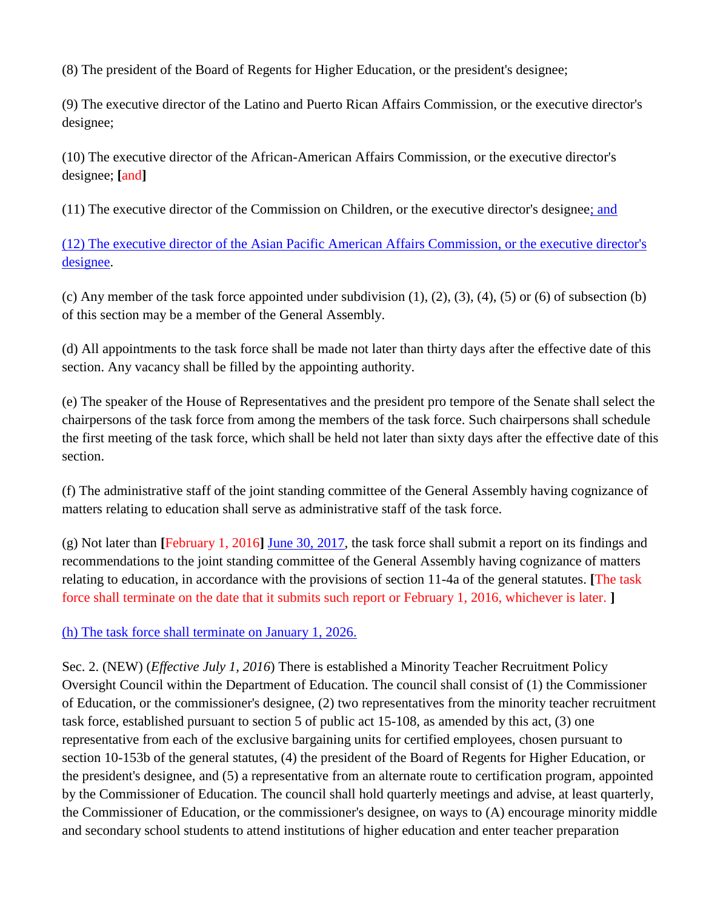(8) The president of the Board of Regents for Higher Education, or the president's designee;

(9) The executive director of the Latino and Puerto Rican Affairs Commission, or the executive director's designee;

(10) The executive director of the African-American Affairs Commission, or the executive director's designee; **[**and**]**

(11) The executive director of the Commission on Children, or the executive director's designee; and

(12) The executive director of the Asian Pacific American Affairs Commission, or the executive director's designee.

(c) Any member of the task force appointed under subdivision  $(1)$ ,  $(2)$ ,  $(3)$ ,  $(4)$ ,  $(5)$  or  $(6)$  of subsection  $(b)$ of this section may be a member of the General Assembly.

(d) All appointments to the task force shall be made not later than thirty days after the effective date of this section. Any vacancy shall be filled by the appointing authority.

(e) The speaker of the House of Representatives and the president pro tempore of the Senate shall select the chairpersons of the task force from among the members of the task force. Such chairpersons shall schedule the first meeting of the task force, which shall be held not later than sixty days after the effective date of this section.

(f) The administrative staff of the joint standing committee of the General Assembly having cognizance of matters relating to education shall serve as administrative staff of the task force.

(g) Not later than **[**February 1, 2016**]** June 30, 2017, the task force shall submit a report on its findings and recommendations to the joint standing committee of the General Assembly having cognizance of matters relating to education, in accordance with the provisions of section 11-4a of the general statutes. **[**The task force shall terminate on the date that it submits such report or February 1, 2016, whichever is later. **]**

(h) The task force shall terminate on January 1, 2026.

Sec. 2. (NEW) (*Effective July 1, 2016*) There is established a Minority Teacher Recruitment Policy Oversight Council within the Department of Education. The council shall consist of (1) the Commissioner of Education, or the commissioner's designee, (2) two representatives from the minority teacher recruitment task force, established pursuant to section 5 of public act 15-108, as amended by this act, (3) one representative from each of the exclusive bargaining units for certified employees, chosen pursuant to section 10-153b of the general statutes, (4) the president of the Board of Regents for Higher Education, or the president's designee, and (5) a representative from an alternate route to certification program, appointed by the Commissioner of Education. The council shall hold quarterly meetings and advise, at least quarterly, the Commissioner of Education, or the commissioner's designee, on ways to (A) encourage minority middle and secondary school students to attend institutions of higher education and enter teacher preparation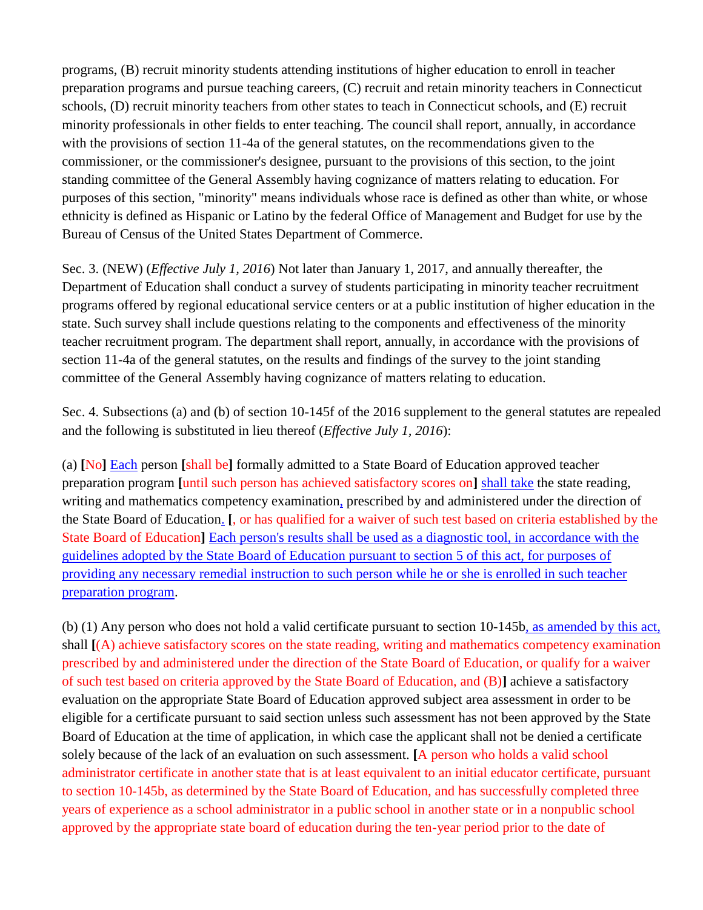programs, (B) recruit minority students attending institutions of higher education to enroll in teacher preparation programs and pursue teaching careers, (C) recruit and retain minority teachers in Connecticut schools, (D) recruit minority teachers from other states to teach in Connecticut schools, and (E) recruit minority professionals in other fields to enter teaching. The council shall report, annually, in accordance with the provisions of section 11-4a of the general statutes, on the recommendations given to the commissioner, or the commissioner's designee, pursuant to the provisions of this section, to the joint standing committee of the General Assembly having cognizance of matters relating to education. For purposes of this section, "minority" means individuals whose race is defined as other than white, or whose ethnicity is defined as Hispanic or Latino by the federal Office of Management and Budget for use by the Bureau of Census of the United States Department of Commerce.

Sec. 3. (NEW) (*Effective July 1, 2016*) Not later than January 1, 2017, and annually thereafter, the Department of Education shall conduct a survey of students participating in minority teacher recruitment programs offered by regional educational service centers or at a public institution of higher education in the state. Such survey shall include questions relating to the components and effectiveness of the minority teacher recruitment program. The department shall report, annually, in accordance with the provisions of section 11-4a of the general statutes, on the results and findings of the survey to the joint standing committee of the General Assembly having cognizance of matters relating to education.

Sec. 4. Subsections (a) and (b) of section 10-145f of the 2016 supplement to the general statutes are repealed and the following is substituted in lieu thereof (*Effective July 1, 2016*):

(a) **[**No**]** Each person **[**shall be**]** formally admitted to a State Board of Education approved teacher preparation program **[**until such person has achieved satisfactory scores on**]** shall take the state reading, writing and mathematics competency examination, prescribed by and administered under the direction of the State Board of Education. **[**, or has qualified for a waiver of such test based on criteria established by the State Board of Education**]** Each person's results shall be used as a diagnostic tool, in accordance with the guidelines adopted by the State Board of Education pursuant to section 5 of this act, for purposes of providing any necessary remedial instruction to such person while he or she is enrolled in such teacher preparation program.

(b) (1) Any person who does not hold a valid certificate pursuant to section 10-145b, as amended by this act, shall **[**(A) achieve satisfactory scores on the state reading, writing and mathematics competency examination prescribed by and administered under the direction of the State Board of Education, or qualify for a waiver of such test based on criteria approved by the State Board of Education, and (B)**]** achieve a satisfactory evaluation on the appropriate State Board of Education approved subject area assessment in order to be eligible for a certificate pursuant to said section unless such assessment has not been approved by the State Board of Education at the time of application, in which case the applicant shall not be denied a certificate solely because of the lack of an evaluation on such assessment. **[**A person who holds a valid school administrator certificate in another state that is at least equivalent to an initial educator certificate, pursuant to section 10-145b, as determined by the State Board of Education, and has successfully completed three years of experience as a school administrator in a public school in another state or in a nonpublic school approved by the appropriate state board of education during the ten-year period prior to the date of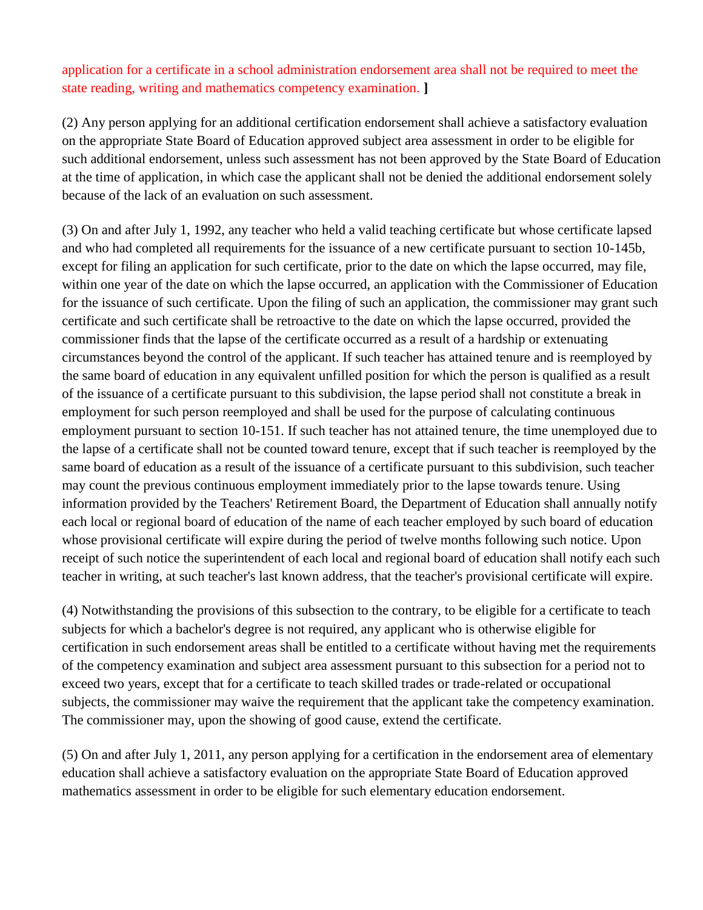application for a certificate in a school administration endorsement area shall not be required to meet the state reading, writing and mathematics competency examination. **]**

(2) Any person applying for an additional certification endorsement shall achieve a satisfactory evaluation on the appropriate State Board of Education approved subject area assessment in order to be eligible for such additional endorsement, unless such assessment has not been approved by the State Board of Education at the time of application, in which case the applicant shall not be denied the additional endorsement solely because of the lack of an evaluation on such assessment.

(3) On and after July 1, 1992, any teacher who held a valid teaching certificate but whose certificate lapsed and who had completed all requirements for the issuance of a new certificate pursuant to section 10-145b, except for filing an application for such certificate, prior to the date on which the lapse occurred, may file, within one year of the date on which the lapse occurred, an application with the Commissioner of Education for the issuance of such certificate. Upon the filing of such an application, the commissioner may grant such certificate and such certificate shall be retroactive to the date on which the lapse occurred, provided the commissioner finds that the lapse of the certificate occurred as a result of a hardship or extenuating circumstances beyond the control of the applicant. If such teacher has attained tenure and is reemployed by the same board of education in any equivalent unfilled position for which the person is qualified as a result of the issuance of a certificate pursuant to this subdivision, the lapse period shall not constitute a break in employment for such person reemployed and shall be used for the purpose of calculating continuous employment pursuant to section 10-151. If such teacher has not attained tenure, the time unemployed due to the lapse of a certificate shall not be counted toward tenure, except that if such teacher is reemployed by the same board of education as a result of the issuance of a certificate pursuant to this subdivision, such teacher may count the previous continuous employment immediately prior to the lapse towards tenure. Using information provided by the Teachers' Retirement Board, the Department of Education shall annually notify each local or regional board of education of the name of each teacher employed by such board of education whose provisional certificate will expire during the period of twelve months following such notice. Upon receipt of such notice the superintendent of each local and regional board of education shall notify each such teacher in writing, at such teacher's last known address, that the teacher's provisional certificate will expire.

(4) Notwithstanding the provisions of this subsection to the contrary, to be eligible for a certificate to teach subjects for which a bachelor's degree is not required, any applicant who is otherwise eligible for certification in such endorsement areas shall be entitled to a certificate without having met the requirements of the competency examination and subject area assessment pursuant to this subsection for a period not to exceed two years, except that for a certificate to teach skilled trades or trade-related or occupational subjects, the commissioner may waive the requirement that the applicant take the competency examination. The commissioner may, upon the showing of good cause, extend the certificate.

(5) On and after July 1, 2011, any person applying for a certification in the endorsement area of elementary education shall achieve a satisfactory evaluation on the appropriate State Board of Education approved mathematics assessment in order to be eligible for such elementary education endorsement.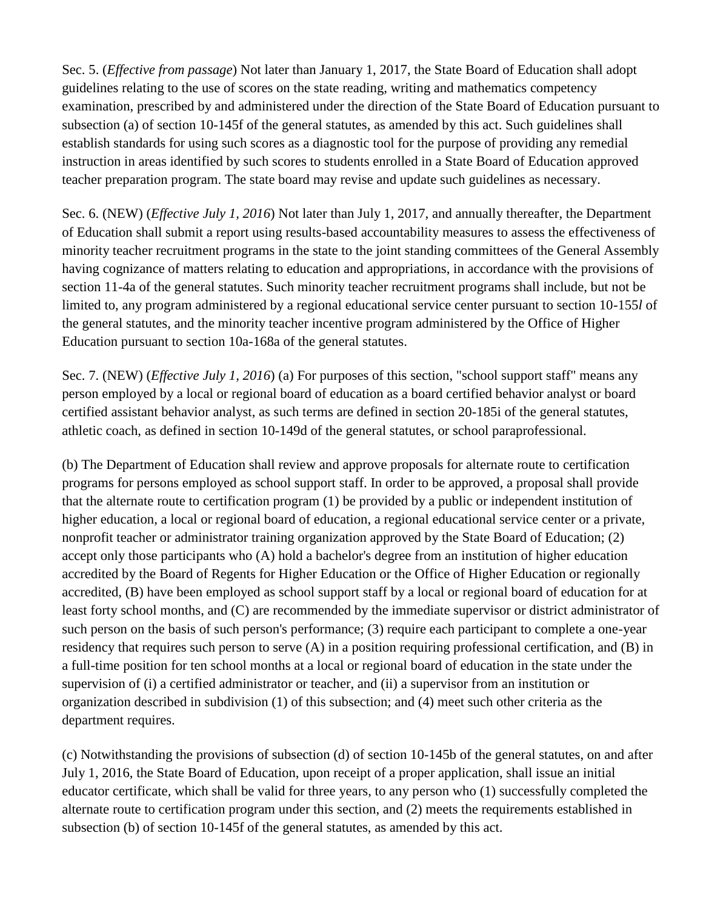Sec. 5. (*Effective from passage*) Not later than January 1, 2017, the State Board of Education shall adopt guidelines relating to the use of scores on the state reading, writing and mathematics competency examination, prescribed by and administered under the direction of the State Board of Education pursuant to subsection (a) of section 10-145f of the general statutes, as amended by this act. Such guidelines shall establish standards for using such scores as a diagnostic tool for the purpose of providing any remedial instruction in areas identified by such scores to students enrolled in a State Board of Education approved teacher preparation program. The state board may revise and update such guidelines as necessary.

Sec. 6. (NEW) (*Effective July 1, 2016*) Not later than July 1, 2017, and annually thereafter, the Department of Education shall submit a report using results-based accountability measures to assess the effectiveness of minority teacher recruitment programs in the state to the joint standing committees of the General Assembly having cognizance of matters relating to education and appropriations, in accordance with the provisions of section 11-4a of the general statutes. Such minority teacher recruitment programs shall include, but not be limited to, any program administered by a regional educational service center pursuant to section 10-155*l* of the general statutes, and the minority teacher incentive program administered by the Office of Higher Education pursuant to section 10a-168a of the general statutes.

Sec. 7. (NEW) (*Effective July 1, 2016*) (a) For purposes of this section, "school support staff" means any person employed by a local or regional board of education as a board certified behavior analyst or board certified assistant behavior analyst, as such terms are defined in section 20-185i of the general statutes, athletic coach, as defined in section 10-149d of the general statutes, or school paraprofessional.

(b) The Department of Education shall review and approve proposals for alternate route to certification programs for persons employed as school support staff. In order to be approved, a proposal shall provide that the alternate route to certification program (1) be provided by a public or independent institution of higher education, a local or regional board of education, a regional educational service center or a private, nonprofit teacher or administrator training organization approved by the State Board of Education; (2) accept only those participants who (A) hold a bachelor's degree from an institution of higher education accredited by the Board of Regents for Higher Education or the Office of Higher Education or regionally accredited, (B) have been employed as school support staff by a local or regional board of education for at least forty school months, and (C) are recommended by the immediate supervisor or district administrator of such person on the basis of such person's performance; (3) require each participant to complete a one-year residency that requires such person to serve (A) in a position requiring professional certification, and (B) in a full-time position for ten school months at a local or regional board of education in the state under the supervision of (i) a certified administrator or teacher, and (ii) a supervisor from an institution or organization described in subdivision (1) of this subsection; and (4) meet such other criteria as the department requires.

(c) Notwithstanding the provisions of subsection (d) of section 10-145b of the general statutes, on and after July 1, 2016, the State Board of Education, upon receipt of a proper application, shall issue an initial educator certificate, which shall be valid for three years, to any person who (1) successfully completed the alternate route to certification program under this section, and (2) meets the requirements established in subsection (b) of section 10-145f of the general statutes, as amended by this act.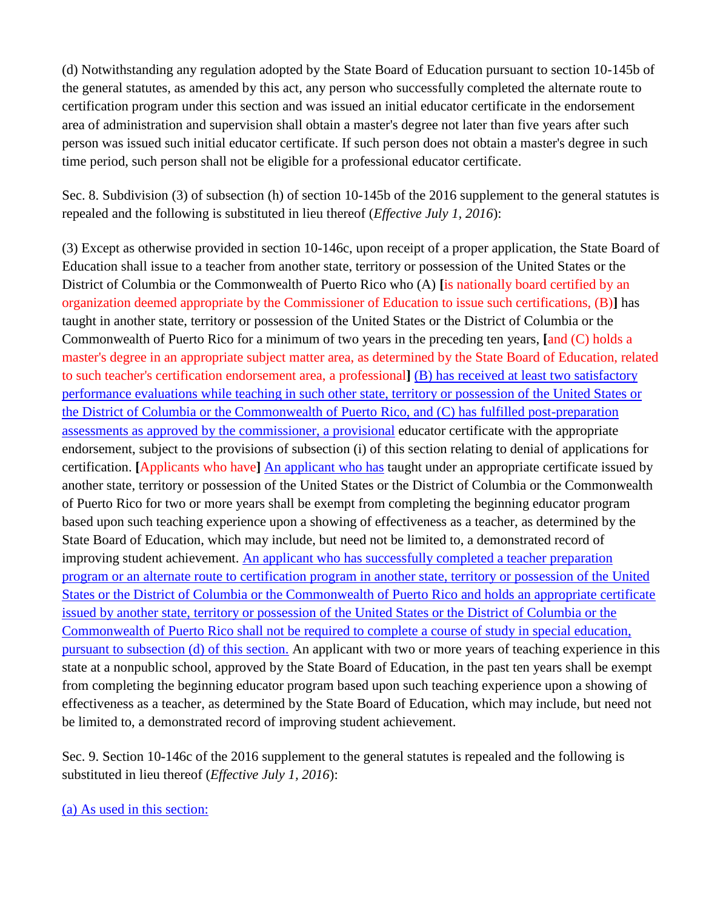(d) Notwithstanding any regulation adopted by the State Board of Education pursuant to section 10-145b of the general statutes, as amended by this act, any person who successfully completed the alternate route to certification program under this section and was issued an initial educator certificate in the endorsement area of administration and supervision shall obtain a master's degree not later than five years after such person was issued such initial educator certificate. If such person does not obtain a master's degree in such time period, such person shall not be eligible for a professional educator certificate.

Sec. 8. Subdivision (3) of subsection (h) of section 10-145b of the 2016 supplement to the general statutes is repealed and the following is substituted in lieu thereof (*Effective July 1, 2016*):

(3) Except as otherwise provided in section 10-146c, upon receipt of a proper application, the State Board of Education shall issue to a teacher from another state, territory or possession of the United States or the District of Columbia or the Commonwealth of Puerto Rico who (A) **[**is nationally board certified by an organization deemed appropriate by the Commissioner of Education to issue such certifications, (B)**]** has taught in another state, territory or possession of the United States or the District of Columbia or the Commonwealth of Puerto Rico for a minimum of two years in the preceding ten years, **[**and (C) holds a master's degree in an appropriate subject matter area, as determined by the State Board of Education, related to such teacher's certification endorsement area, a professional**]** (B) has received at least two satisfactory performance evaluations while teaching in such other state, territory or possession of the United States or the District of Columbia or the Commonwealth of Puerto Rico, and (C) has fulfilled post-preparation assessments as approved by the commissioner, a provisional educator certificate with the appropriate endorsement, subject to the provisions of subsection (i) of this section relating to denial of applications for certification. **[**Applicants who have**]** An applicant who has taught under an appropriate certificate issued by another state, territory or possession of the United States or the District of Columbia or the Commonwealth of Puerto Rico for two or more years shall be exempt from completing the beginning educator program based upon such teaching experience upon a showing of effectiveness as a teacher, as determined by the State Board of Education, which may include, but need not be limited to, a demonstrated record of improving student achievement. An applicant who has successfully completed a teacher preparation program or an alternate route to certification program in another state, territory or possession of the United States or the District of Columbia or the Commonwealth of Puerto Rico and holds an appropriate certificate issued by another state, territory or possession of the United States or the District of Columbia or the Commonwealth of Puerto Rico shall not be required to complete a course of study in special education, pursuant to subsection (d) of this section. An applicant with two or more years of teaching experience in this state at a nonpublic school, approved by the State Board of Education, in the past ten years shall be exempt from completing the beginning educator program based upon such teaching experience upon a showing of effectiveness as a teacher, as determined by the State Board of Education, which may include, but need not be limited to, a demonstrated record of improving student achievement.

Sec. 9. Section 10-146c of the 2016 supplement to the general statutes is repealed and the following is substituted in lieu thereof (*Effective July 1, 2016*):

(a) As used in this section: